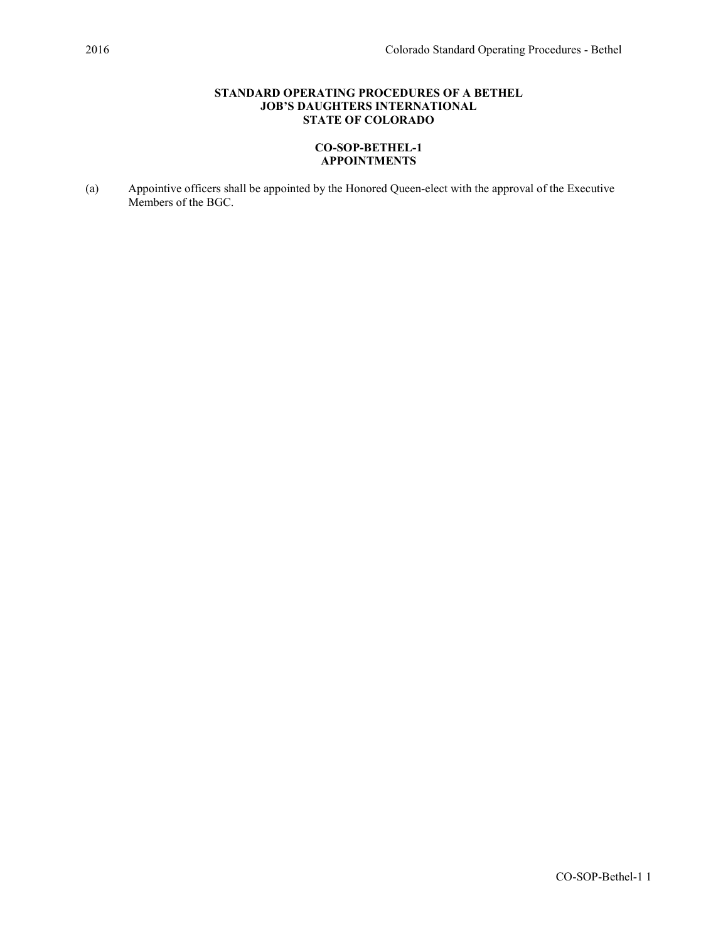# STANDARD OPERATING PROCEDURES OF A BETHEL JOB'S DAUGHTERS INTERNATIONAL STATE OF COLORADO

# CO-SOP-BETHEL-1 APPOINTMENTS

(a) Appointive officers shall be appointed by the Honored Queen-elect with the approval of the Executive Members of the BGC.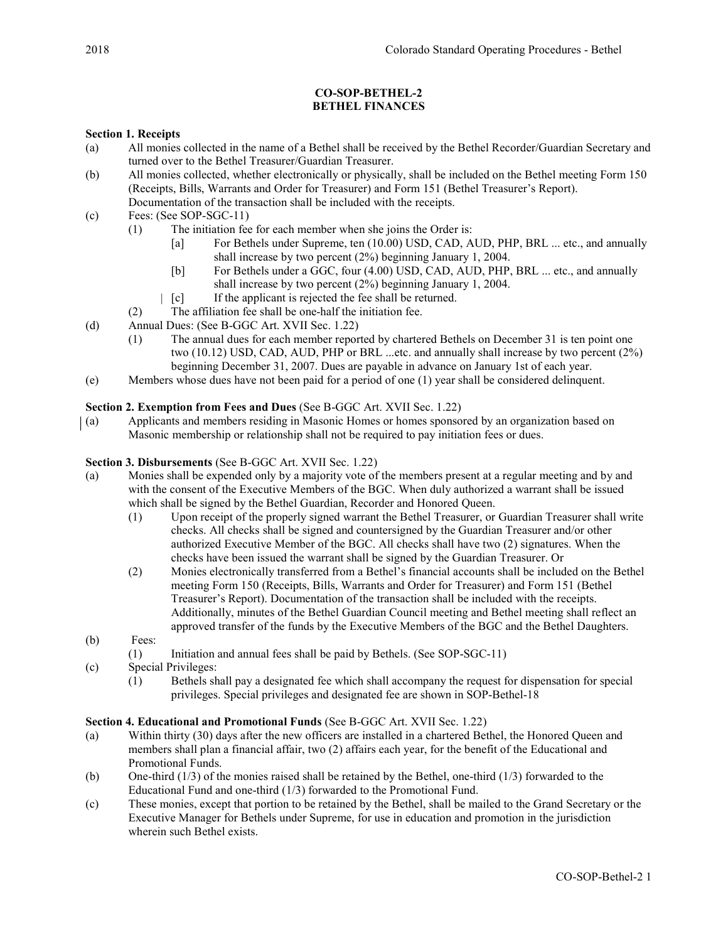# CO-SOP-BETHEL-2 BETHEL FINANCES

## Section 1. Receipts

- (a) All monies collected in the name of a Bethel shall be received by the Bethel Recorder/Guardian Secretary and turned over to the Bethel Treasurer/Guardian Treasurer.
- (b) All monies collected, whether electronically or physically, shall be included on the Bethel meeting Form 150 (Receipts, Bills, Warrants and Order for Treasurer) and Form 151 (Bethel Treasurer's Report). Documentation of the transaction shall be included with the receipts.
- (c) Fees: (See SOP-SGC-11)
	- (1) The initiation fee for each member when she joins the Order is:
		- [a] For Bethels under Supreme, ten (10.00) USD, CAD, AUD, PHP, BRL ... etc., and annually shall increase by two percent (2%) beginning January 1, 2004.
		- [b] For Bethels under a GGC, four (4.00) USD, CAD, AUD, PHP, BRL ... etc., and annually shall increase by two percent (2%) beginning January 1, 2004.
		- $\begin{bmatrix} \begin{bmatrix} \begin{bmatrix} \begin{bmatrix} \begin{bmatrix} \begin{bmatrix} \begin{bmatrix} \begin{bmatrix} \begin{bmatrix} \begin{bmatrix} \begin{bmatrix} \begin{bmatrix} \begin{bmatrix} \begin{bmatrix} \begin{bmatrix} \begin{bmatrix} \begin{bmatrix} \begin{bmatrix} \begin{bmatrix} \begin{bmatrix} \begin{bmatrix} \begin{bmatrix} \begin{bmatrix} \begin{bmatrix} \begin{bmatrix} \begin{bmatrix} \begin{bmatrix} \begin{bmatrix} \begin{bmatrix} \begin{bmatrix} \begin{bmatrix} \begin{bmatrix} \begin{bmatrix} \begin{bmatrix} \begin{bmatrix} \begin{bmatrix} \begin{b$
	- (2) The affiliation fee shall be one-half the initiation fee.
- (d) Annual Dues: (See B-GGC Art. XVII Sec. 1.22)
	- (1) The annual dues for each member reported by chartered Bethels on December 31 is ten point one two (10.12) USD, CAD, AUD, PHP or BRL ...etc. and annually shall increase by two percent (2%) beginning December 31, 2007. Dues are payable in advance on January 1st of each year.
- (e) Members whose dues have not been paid for a period of one (1) year shall be considered delinquent.

# Section 2. Exemption from Fees and Dues (See B-GGC Art. XVII Sec. 1.22)

(a) Applicants and members residing in Masonic Homes or homes sponsored by an organization based on Masonic membership or relationship shall not be required to pay initiation fees or dues.

## Section 3. Disbursements (See B-GGC Art. XVII Sec. 1.22)

- (a) Monies shall be expended only by a majority vote of the members present at a regular meeting and by and with the consent of the Executive Members of the BGC. When duly authorized a warrant shall be issued which shall be signed by the Bethel Guardian, Recorder and Honored Queen.
	- (1) Upon receipt of the properly signed warrant the Bethel Treasurer, or Guardian Treasurer shall write checks. All checks shall be signed and countersigned by the Guardian Treasurer and/or other authorized Executive Member of the BGC. All checks shall have two (2) signatures. When the checks have been issued the warrant shall be signed by the Guardian Treasurer. Or
	- (2) Monies electronically transferred from a Bethel's financial accounts shall be included on the Bethel meeting Form 150 (Receipts, Bills, Warrants and Order for Treasurer) and Form 151 (Bethel Treasurer's Report). Documentation of the transaction shall be included with the receipts. Additionally, minutes of the Bethel Guardian Council meeting and Bethel meeting shall reflect an approved transfer of the funds by the Executive Members of the BGC and the Bethel Daughters.
- (b) Fees:
	- (1) Initiation and annual fees shall be paid by Bethels. (See SOP-SGC-11)
- (c) Special Privileges:
	- (1) Bethels shall pay a designated fee which shall accompany the request for dispensation for special privileges. Special privileges and designated fee are shown in SOP-Bethel-18

## Section 4. Educational and Promotional Funds (See B-GGC Art. XVII Sec. 1.22)

- (a) Within thirty (30) days after the new officers are installed in a chartered Bethel, the Honored Queen and members shall plan a financial affair, two (2) affairs each year, for the benefit of the Educational and Promotional Funds.
- (b) One-third (1/3) of the monies raised shall be retained by the Bethel, one-third (1/3) forwarded to the Educational Fund and one-third (1/3) forwarded to the Promotional Fund.
- (c) These monies, except that portion to be retained by the Bethel, shall be mailed to the Grand Secretary or the Executive Manager for Bethels under Supreme, for use in education and promotion in the jurisdiction wherein such Bethel exists.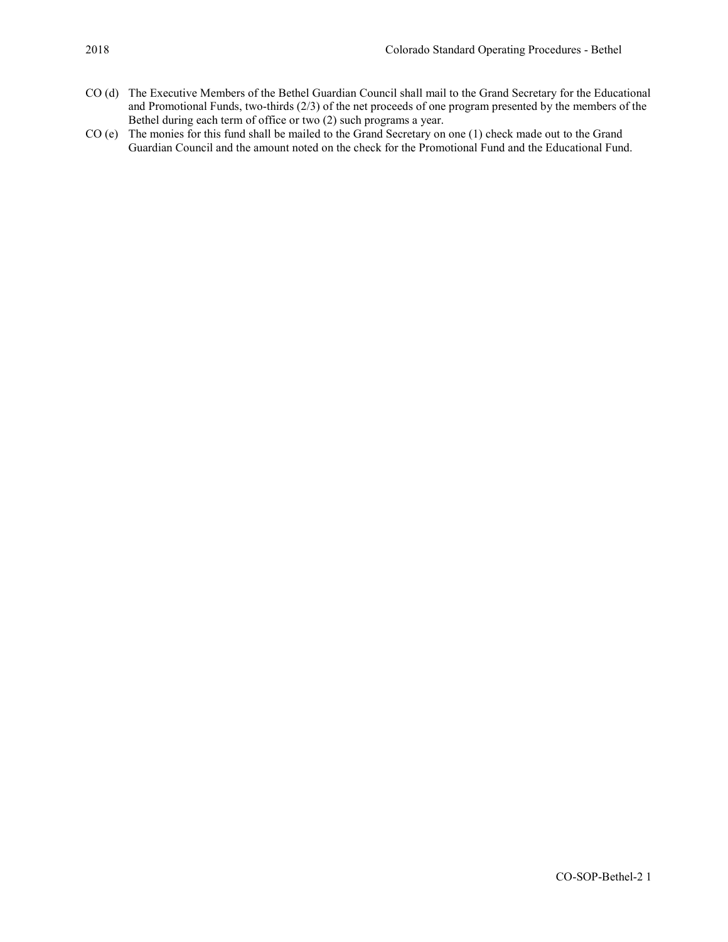- CO (d) The Executive Members of the Bethel Guardian Council shall mail to the Grand Secretary for the Educational and Promotional Funds, two-thirds (2/3) of the net proceeds of one program presented by the members of the Bethel during each term of office or two (2) such programs a year.
- CO (e) The monies for this fund shall be mailed to the Grand Secretary on one (1) check made out to the Grand Guardian Council and the amount noted on the check for the Promotional Fund and the Educational Fund.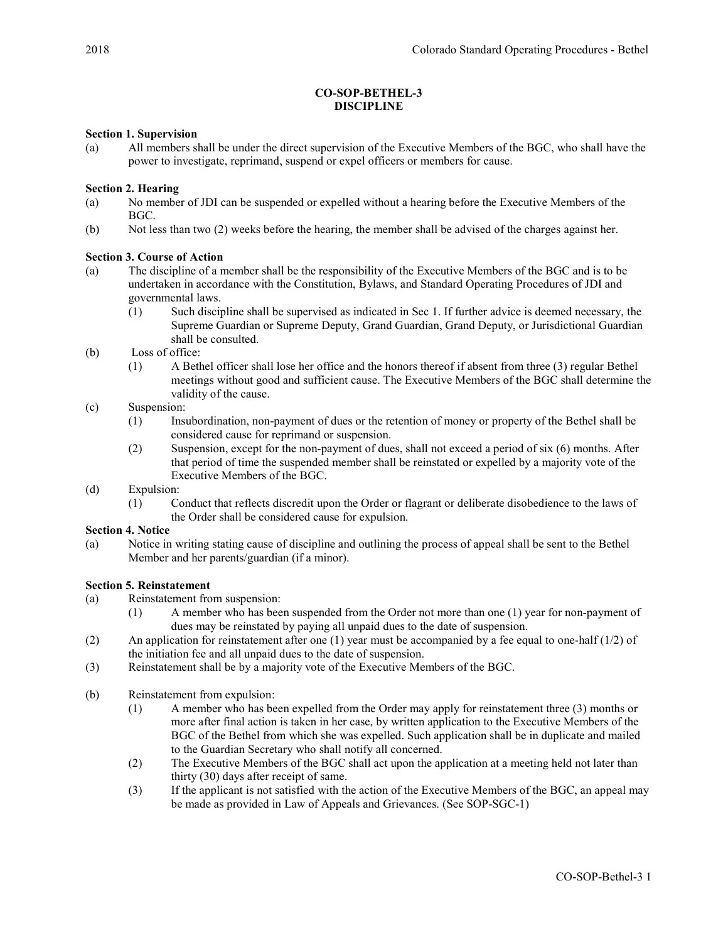## CO-SOP-BETHEL-3 DISCIPLINE

## Section 1. Supervision

(a) All members shall be under the direct supervision of the Executive Members of the BGC, who shall have the power to investigate, reprimand, suspend or expel officers or members for cause.

## Section 2. Hearing

- (a) No member of JDI can be suspended or expelled without a hearing before the Executive Members of the BGC.
- (b) Not less than two (2) weeks before the hearing, the member shall be advised of the charges against her.

## Section 3. Course of Action

- (a) The discipline of a member shall be the responsibility of the Executive Members of the BGC and is to be undertaken in accordance with the Constitution, Bylaws, and Standard Operating Procedures of JDI and governmental laws.
	- (1) Such discipline shall be supervised as indicated in Sec 1. If further advice is deemed necessary, the Supreme Guardian or Supreme Deputy, Grand Guardian, Grand Deputy, or Jurisdictional Guardian shall be consulted.
- (b) Loss of office:
	- (1) A Bethel officer shall lose her office and the honors thereof if absent from three (3) regular Bethel meetings without good and sufficient cause. The Executive Members of the BGC shall determine the validity of the cause.
- (c) Suspension:
	- (1) Insubordination, non-payment of dues or the retention of money or property of the Bethel shall be considered cause for reprimand or suspension.
	- (2) Suspension, except for the non-payment of dues, shall not exceed a period of six (6) months. After that period of time the suspended member shall be reinstated or expelled by a majority vote of the Executive Members of the BGC.
- (d) Expulsion:
	- (1) Conduct that reflects discredit upon the Order or flagrant or deliberate disobedience to the laws of the Order shall be considered cause for expulsion.

#### Section 4. Notice

(a) Notice in writing stating cause of discipline and outlining the process of appeal shall be sent to the Bethel Member and her parents/guardian (if a minor).

## Section 5. Reinstatement

- (a) Reinstatement from suspension:
	- (1) A member who has been suspended from the Order not more than one (1) year for non-payment of dues may be reinstated by paying all unpaid dues to the date of suspension.
- (2) An application for reinstatement after one (1) year must be accompanied by a fee equal to one-half (1/2) of the initiation fee and all unpaid dues to the date of suspension.
- (3) Reinstatement shall be by a majority vote of the Executive Members of the BGC.
- (b) Reinstatement from expulsion:
	- (1) A member who has been expelled from the Order may apply for reinstatement three (3) months or more after final action is taken in her case, by written application to the Executive Members of the BGC of the Bethel from which she was expelled. Such application shall be in duplicate and mailed to the Guardian Secretary who shall notify all concerned.
	- (2) The Executive Members of the BGC shall act upon the application at a meeting held not later than thirty (30) days after receipt of same.
	- (3) If the applicant is not satisfied with the action of the Executive Members of the BGC, an appeal may be made as provided in Law of Appeals and Grievances. (See SOP-SGC-1)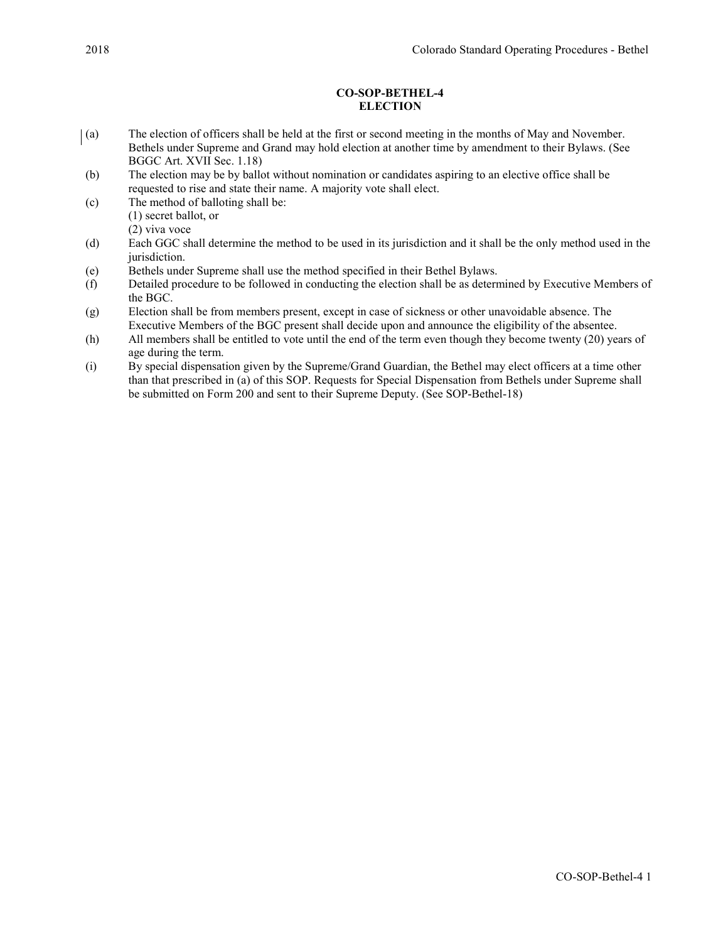## CO-SOP-BETHEL-4 **ELECTION**

- (a) The election of officers shall be held at the first or second meeting in the months of May and November. Bethels under Supreme and Grand may hold election at another time by amendment to their Bylaws. (See BGGC Art. XVII Sec. 1.18)
- (b) The election may be by ballot without nomination or candidates aspiring to an elective office shall be requested to rise and state their name. A majority vote shall elect.
- (c) The method of balloting shall be: (1) secret ballot, or

(2) viva voce

- (d) Each GGC shall determine the method to be used in its jurisdiction and it shall be the only method used in the jurisdiction.
- (e) Bethels under Supreme shall use the method specified in their Bethel Bylaws.
- (f) Detailed procedure to be followed in conducting the election shall be as determined by Executive Members of the BGC.
- (g) Election shall be from members present, except in case of sickness or other unavoidable absence. The Executive Members of the BGC present shall decide upon and announce the eligibility of the absentee.
- (h) All members shall be entitled to vote until the end of the term even though they become twenty (20) years of age during the term.
- (i) By special dispensation given by the Supreme/Grand Guardian, the Bethel may elect officers at a time other than that prescribed in (a) of this SOP. Requests for Special Dispensation from Bethels under Supreme shall be submitted on Form 200 and sent to their Supreme Deputy. (See SOP-Bethel-18)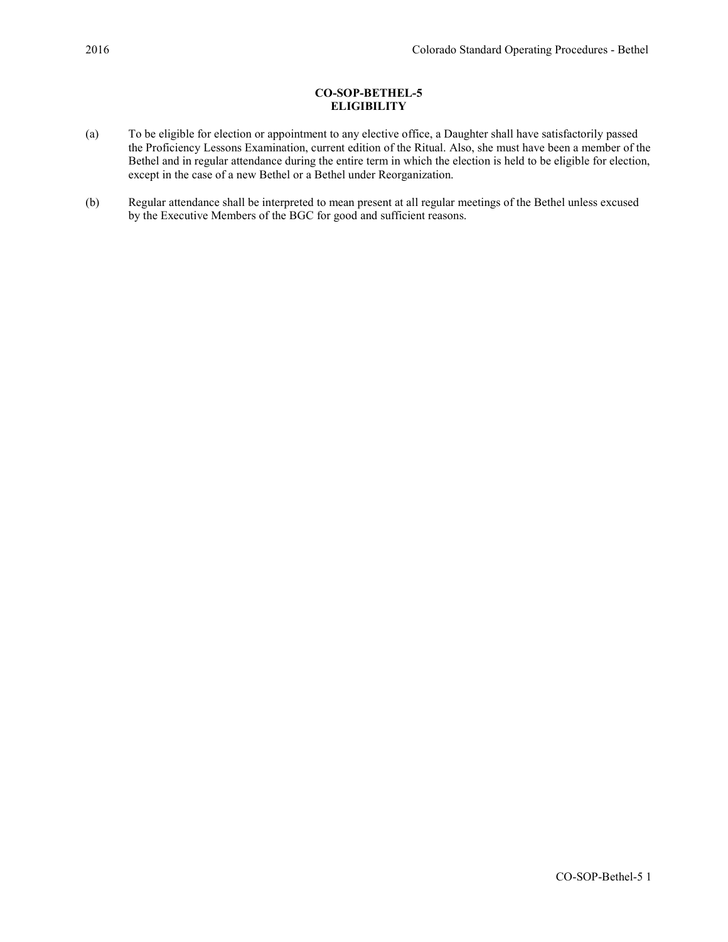# CO-SOP-BETHEL-5 **ELIGIBILITY**

- (a) To be eligible for election or appointment to any elective office, a Daughter shall have satisfactorily passed the Proficiency Lessons Examination, current edition of the Ritual. Also, she must have been a member of the Bethel and in regular attendance during the entire term in which the election is held to be eligible for election, except in the case of a new Bethel or a Bethel under Reorganization.
- (b) Regular attendance shall be interpreted to mean present at all regular meetings of the Bethel unless excused by the Executive Members of the BGC for good and sufficient reasons.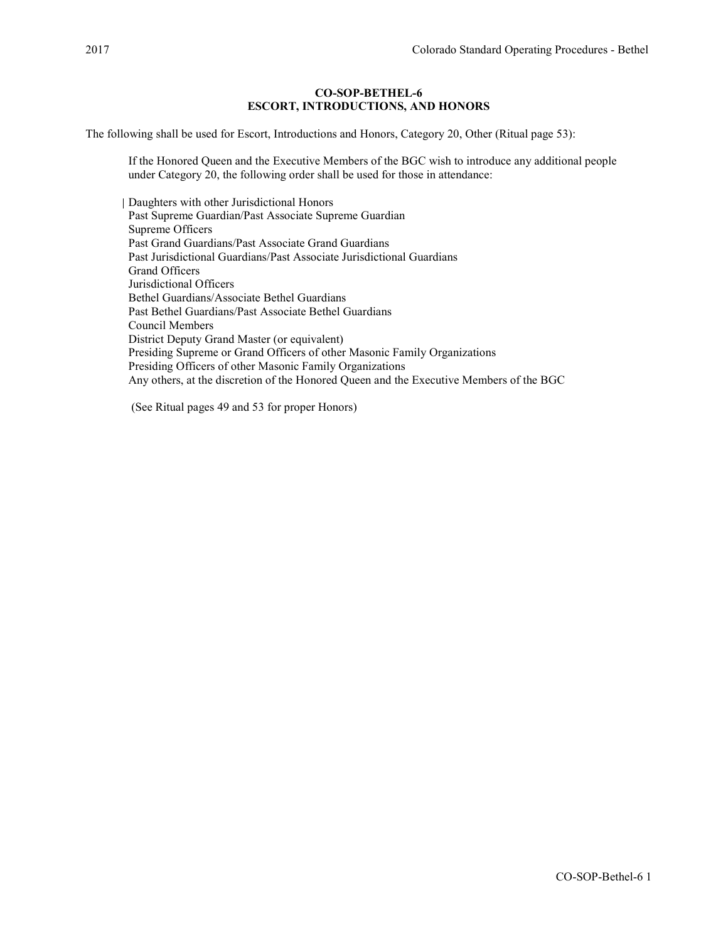## CO-SOP-BETHEL-6 ESCORT, INTRODUCTIONS, AND HONORS

The following shall be used for Escort, Introductions and Honors, Category 20, Other (Ritual page 53):

If the Honored Queen and the Executive Members of the BGC wish to introduce any additional people under Category 20, the following order shall be used for those in attendance:

Daughters with other Jurisdictional Honors Past Supreme Guardian/Past Associate Supreme Guardian Supreme Officers Past Grand Guardians/Past Associate Grand Guardians Past Jurisdictional Guardians/Past Associate Jurisdictional Guardians Grand Officers Jurisdictional Officers Bethel Guardians/Associate Bethel Guardians Past Bethel Guardians/Past Associate Bethel Guardians Council Members District Deputy Grand Master (or equivalent) Presiding Supreme or Grand Officers of other Masonic Family Organizations Presiding Officers of other Masonic Family Organizations Any others, at the discretion of the Honored Queen and the Executive Members of the BGC

(See Ritual pages 49 and 53 for proper Honors)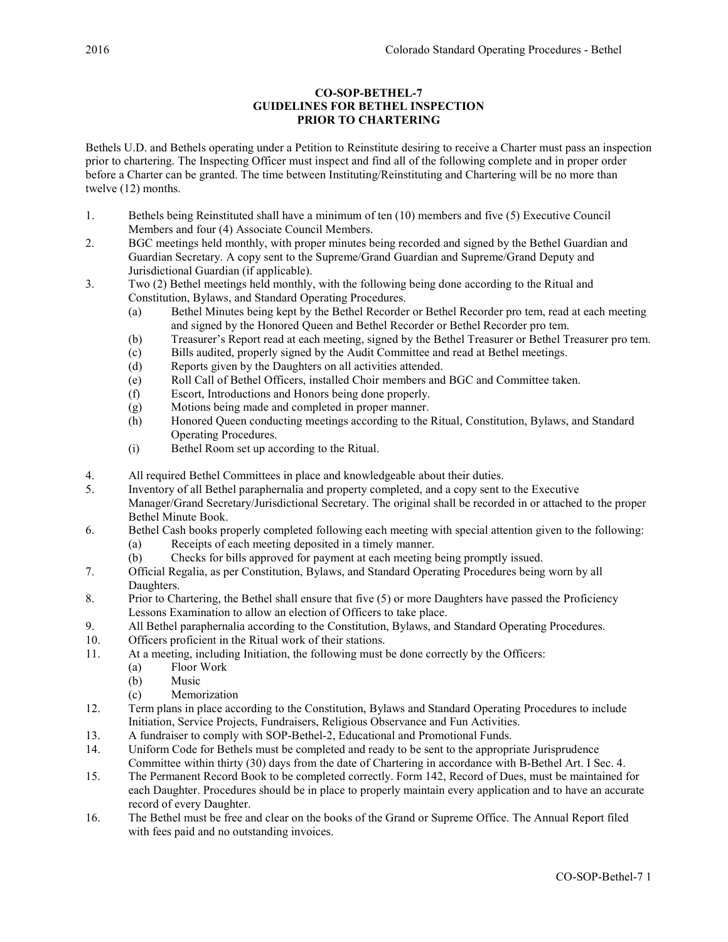# CO-SOP-BETHEL-7 GUIDELINES FOR BETHEL INSPECTION PRIOR TO CHARTERING

Bethels U.D. and Bethels operating under a Petition to Reinstitute desiring to receive a Charter must pass an inspection prior to chartering. The Inspecting Officer must inspect and find all of the following complete and in proper order before a Charter can be granted. The time between Instituting/Reinstituting and Chartering will be no more than twelve (12) months.

- 1. Bethels being Reinstituted shall have a minimum of ten (10) members and five (5) Executive Council Members and four (4) Associate Council Members.
- 2. BGC meetings held monthly, with proper minutes being recorded and signed by the Bethel Guardian and Guardian Secretary. A copy sent to the Supreme/Grand Guardian and Supreme/Grand Deputy and Jurisdictional Guardian (if applicable).
- 3. Two (2) Bethel meetings held monthly, with the following being done according to the Ritual and Constitution, Bylaws, and Standard Operating Procedures.
	- (a) Bethel Minutes being kept by the Bethel Recorder or Bethel Recorder pro tem, read at each meeting and signed by the Honored Queen and Bethel Recorder or Bethel Recorder pro tem.
	- (b) Treasurer's Report read at each meeting, signed by the Bethel Treasurer or Bethel Treasurer pro tem.
	- (c) Bills audited, properly signed by the Audit Committee and read at Bethel meetings.
	- (d) Reports given by the Daughters on all activities attended.
	- (e) Roll Call of Bethel Officers, installed Choir members and BGC and Committee taken.
	- (f) Escort, Introductions and Honors being done properly.
	- (g) Motions being made and completed in proper manner.
	- (h) Honored Queen conducting meetings according to the Ritual, Constitution, Bylaws, and Standard Operating Procedures.
	- (i) Bethel Room set up according to the Ritual.
- 4. All required Bethel Committees in place and knowledgeable about their duties.
- 5. Inventory of all Bethel paraphernalia and property completed, and a copy sent to the Executive Manager/Grand Secretary/Jurisdictional Secretary. The original shall be recorded in or attached to the proper Bethel Minute Book.
- 6. Bethel Cash books properly completed following each meeting with special attention given to the following: (a) Receipts of each meeting deposited in a timely manner.
	- (b) Checks for bills approved for payment at each meeting being promptly issued.
- 7. Official Regalia, as per Constitution, Bylaws, and Standard Operating Procedures being worn by all Daughters.
- 8. Prior to Chartering, the Bethel shall ensure that five (5) or more Daughters have passed the Proficiency Lessons Examination to allow an election of Officers to take place.
- 9. All Bethel paraphernalia according to the Constitution, Bylaws, and Standard Operating Procedures.
- 10. Officers proficient in the Ritual work of their stations.
- 11. At a meeting, including Initiation, the following must be done correctly by the Officers:
	- (a) Floor Work
	- (b) Music
	- (c) Memorization
- 12. Term plans in place according to the Constitution, Bylaws and Standard Operating Procedures to include Initiation, Service Projects, Fundraisers, Religious Observance and Fun Activities.
- 13. A fundraiser to comply with SOP-Bethel-2, Educational and Promotional Funds.
- 14. Uniform Code for Bethels must be completed and ready to be sent to the appropriate Jurisprudence Committee within thirty (30) days from the date of Chartering in accordance with B-Bethel Art. I Sec. 4.
- 15. The Permanent Record Book to be completed correctly. Form 142, Record of Dues, must be maintained for each Daughter. Procedures should be in place to properly maintain every application and to have an accurate record of every Daughter.
- 16. The Bethel must be free and clear on the books of the Grand or Supreme Office. The Annual Report filed with fees paid and no outstanding invoices.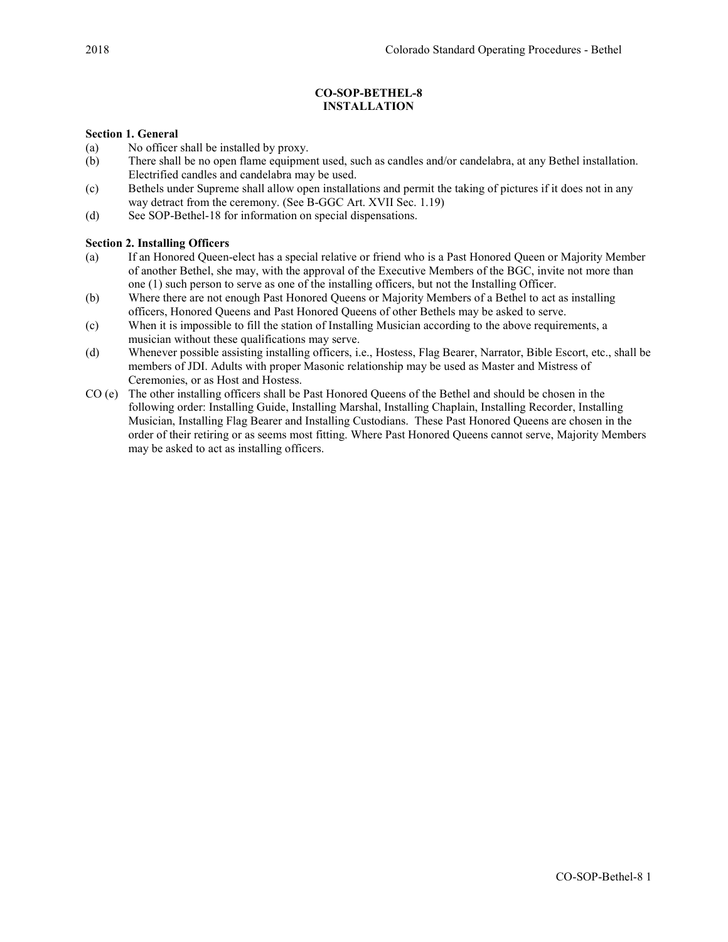# CO-SOP-BETHEL-8 INSTALLATION

## Section 1. General

- (a) No officer shall be installed by proxy.
- (b) There shall be no open flame equipment used, such as candles and/or candelabra, at any Bethel installation. Electrified candles and candelabra may be used.
- (c) Bethels under Supreme shall allow open installations and permit the taking of pictures if it does not in any way detract from the ceremony. (See B-GGC Art. XVII Sec. 1.19)
- (d) See SOP-Bethel-18 for information on special dispensations.

## Section 2. Installing Officers

- (a) If an Honored Queen-elect has a special relative or friend who is a Past Honored Queen or Majority Member of another Bethel, she may, with the approval of the Executive Members of the BGC, invite not more than one (1) such person to serve as one of the installing officers, but not the Installing Officer.
- (b) Where there are not enough Past Honored Queens or Majority Members of a Bethel to act as installing officers, Honored Queens and Past Honored Queens of other Bethels may be asked to serve.
- (c) When it is impossible to fill the station of Installing Musician according to the above requirements, a musician without these qualifications may serve.
- (d) Whenever possible assisting installing officers, i.e., Hostess, Flag Bearer, Narrator, Bible Escort, etc., shall be members of JDI. Adults with proper Masonic relationship may be used as Master and Mistress of Ceremonies, or as Host and Hostess.
- CO (e) The other installing officers shall be Past Honored Queens of the Bethel and should be chosen in the following order: Installing Guide, Installing Marshal, Installing Chaplain, Installing Recorder, Installing Musician, Installing Flag Bearer and Installing Custodians. These Past Honored Queens are chosen in the order of their retiring or as seems most fitting. Where Past Honored Queens cannot serve, Majority Members may be asked to act as installing officers.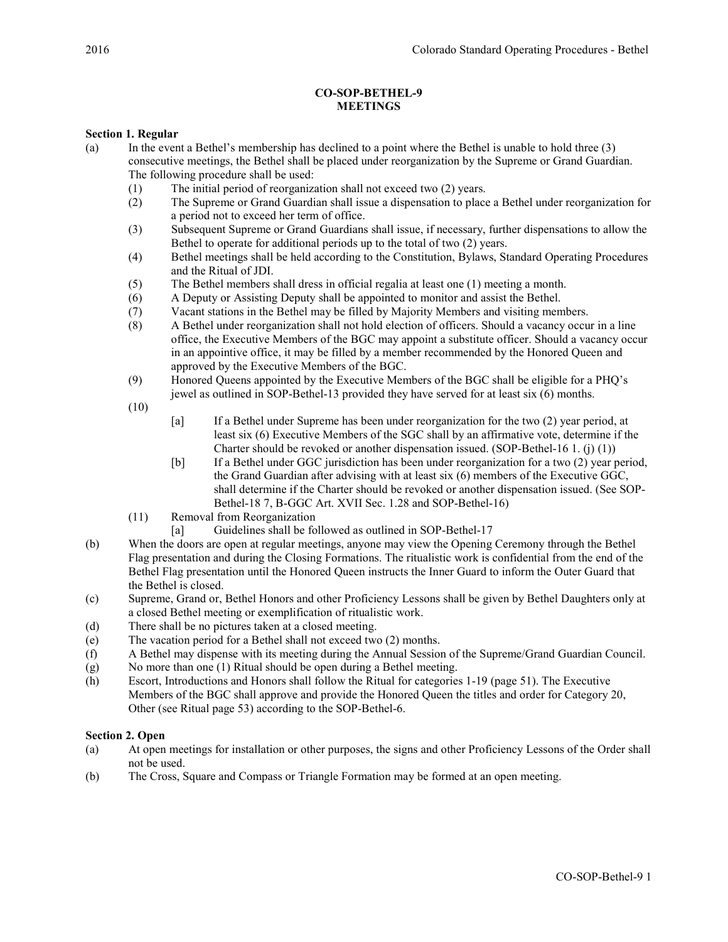# CO-SOP-BETHEL-9 MEETINGS

# Section 1. Regular

- (a) In the event a Bethel's membership has declined to a point where the Bethel is unable to hold three (3) consecutive meetings, the Bethel shall be placed under reorganization by the Supreme or Grand Guardian. The following procedure shall be used:
	- (1) The initial period of reorganization shall not exceed two (2) years.
	- (2) The Supreme or Grand Guardian shall issue a dispensation to place a Bethel under reorganization for a period not to exceed her term of office.
	- (3) Subsequent Supreme or Grand Guardians shall issue, if necessary, further dispensations to allow the Bethel to operate for additional periods up to the total of two (2) years.
	- (4) Bethel meetings shall be held according to the Constitution, Bylaws, Standard Operating Procedures and the Ritual of JDI.
	- (5) The Bethel members shall dress in official regalia at least one (1) meeting a month.
	- (6) A Deputy or Assisting Deputy shall be appointed to monitor and assist the Bethel.
	- (7) Vacant stations in the Bethel may be filled by Majority Members and visiting members.
	- (8) A Bethel under reorganization shall not hold election of officers. Should a vacancy occur in a line office, the Executive Members of the BGC may appoint a substitute officer. Should a vacancy occur in an appointive office, it may be filled by a member recommended by the Honored Queen and approved by the Executive Members of the BGC.
	- (9) Honored Queens appointed by the Executive Members of the BGC shall be eligible for a PHQ's jewel as outlined in SOP-Bethel-13 provided they have served for at least six (6) months.
	- (10)
- [a] If a Bethel under Supreme has been under reorganization for the two (2) year period, at least six (6) Executive Members of the SGC shall by an affirmative vote, determine if the Charter should be revoked or another dispensation issued. (SOP-Bethel-16 1. (j) (1))
- [b] If a Bethel under GGC jurisdiction has been under reorganization for a two (2) year period, the Grand Guardian after advising with at least six (6) members of the Executive GGC, shall determine if the Charter should be revoked or another dispensation issued. (See SOP-Bethel-18 7, B-GGC Art. XVII Sec. 1.28 and SOP-Bethel-16)
- (11) Removal from Reorganization
	- [a] Guidelines shall be followed as outlined in SOP-Bethel-17
- (b) When the doors are open at regular meetings, anyone may view the Opening Ceremony through the Bethel Flag presentation and during the Closing Formations. The ritualistic work is confidential from the end of the Bethel Flag presentation until the Honored Queen instructs the Inner Guard to inform the Outer Guard that the Bethel is closed.
- (c) Supreme, Grand or, Bethel Honors and other Proficiency Lessons shall be given by Bethel Daughters only at a closed Bethel meeting or exemplification of ritualistic work.
- (d) There shall be no pictures taken at a closed meeting.
- (e) The vacation period for a Bethel shall not exceed two (2) months.
- (f) A Bethel may dispense with its meeting during the Annual Session of the Supreme/Grand Guardian Council.
- (g) No more than one (1) Ritual should be open during a Bethel meeting.
- (h) Escort, Introductions and Honors shall follow the Ritual for categories 1-19 (page 51). The Executive Members of the BGC shall approve and provide the Honored Queen the titles and order for Category 20, Other (see Ritual page 53) according to the SOP-Bethel-6.

## Section 2. Open

- (a) At open meetings for installation or other purposes, the signs and other Proficiency Lessons of the Order shall not be used.
- (b) The Cross, Square and Compass or Triangle Formation may be formed at an open meeting.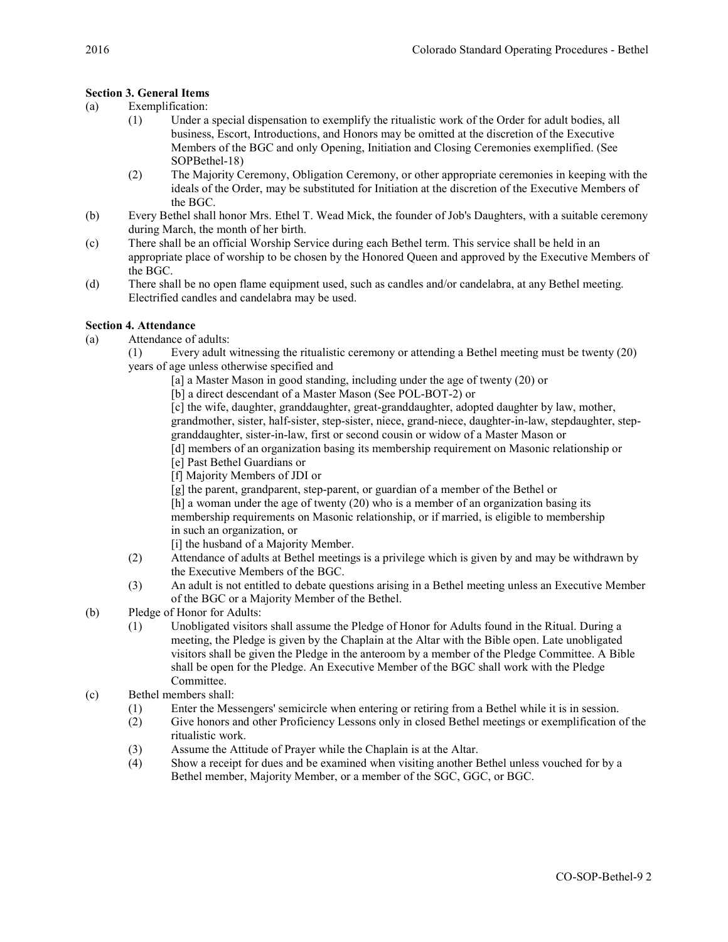# Section 3. General Items

- (a) Exemplification:
	- (1) Under a special dispensation to exemplify the ritualistic work of the Order for adult bodies, all business, Escort, Introductions, and Honors may be omitted at the discretion of the Executive Members of the BGC and only Opening, Initiation and Closing Ceremonies exemplified. (See SOPBethel-18)
	- (2) The Majority Ceremony, Obligation Ceremony, or other appropriate ceremonies in keeping with the ideals of the Order, may be substituted for Initiation at the discretion of the Executive Members of the BGC.
- (b) Every Bethel shall honor Mrs. Ethel T. Wead Mick, the founder of Job's Daughters, with a suitable ceremony during March, the month of her birth.
- (c) There shall be an official Worship Service during each Bethel term. This service shall be held in an appropriate place of worship to be chosen by the Honored Queen and approved by the Executive Members of the BGC.
- (d) There shall be no open flame equipment used, such as candles and/or candelabra, at any Bethel meeting. Electrified candles and candelabra may be used.

## Section 4. Attendance

- (a) Attendance of adults:
	- (1) Every adult witnessing the ritualistic ceremony or attending a Bethel meeting must be twenty (20) years of age unless otherwise specified and
		- [a] a Master Mason in good standing, including under the age of twenty (20) or
		- [b] a direct descendant of a Master Mason (See POL-BOT-2) or

[c] the wife, daughter, granddaughter, great-granddaughter, adopted daughter by law, mother, grandmother, sister, half-sister, step-sister, niece, grand-niece, daughter-in-law, stepdaughter, stepgranddaughter, sister-in-law, first or second cousin or widow of a Master Mason or

- [d] members of an organization basing its membership requirement on Masonic relationship or [e] Past Bethel Guardians or
- [f] Majority Members of JDI or
- [g] the parent, grandparent, step-parent, or guardian of a member of the Bethel or

[h] a woman under the age of twenty (20) who is a member of an organization basing its membership requirements on Masonic relationship, or if married, is eligible to membership in such an organization, or

- [i] the husband of a Majority Member.
- (2) Attendance of adults at Bethel meetings is a privilege which is given by and may be withdrawn by the Executive Members of the BGC.
- (3) An adult is not entitled to debate questions arising in a Bethel meeting unless an Executive Member of the BGC or a Majority Member of the Bethel.
- (b) Pledge of Honor for Adults:
	- (1) Unobligated visitors shall assume the Pledge of Honor for Adults found in the Ritual. During a meeting, the Pledge is given by the Chaplain at the Altar with the Bible open. Late unobligated visitors shall be given the Pledge in the anteroom by a member of the Pledge Committee. A Bible shall be open for the Pledge. An Executive Member of the BGC shall work with the Pledge Committee.
- (c) Bethel members shall:
	- (1) Enter the Messengers' semicircle when entering or retiring from a Bethel while it is in session.
	- (2) Give honors and other Proficiency Lessons only in closed Bethel meetings or exemplification of the ritualistic work.
	- (3) Assume the Attitude of Prayer while the Chaplain is at the Altar.
	- (4) Show a receipt for dues and be examined when visiting another Bethel unless vouched for by a Bethel member, Majority Member, or a member of the SGC, GGC, or BGC.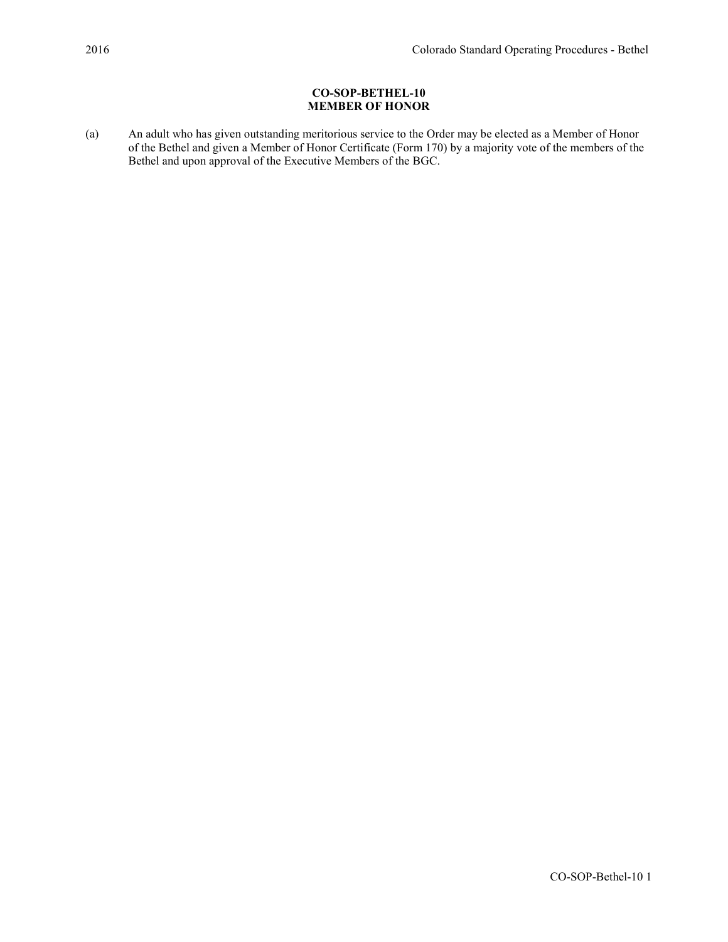# CO-SOP-BETHEL-10 MEMBER OF HONOR

(a) An adult who has given outstanding meritorious service to the Order may be elected as a Member of Honor of the Bethel and given a Member of Honor Certificate (Form 170) by a majority vote of the members of the Bethel and upon approval of the Executive Members of the BGC.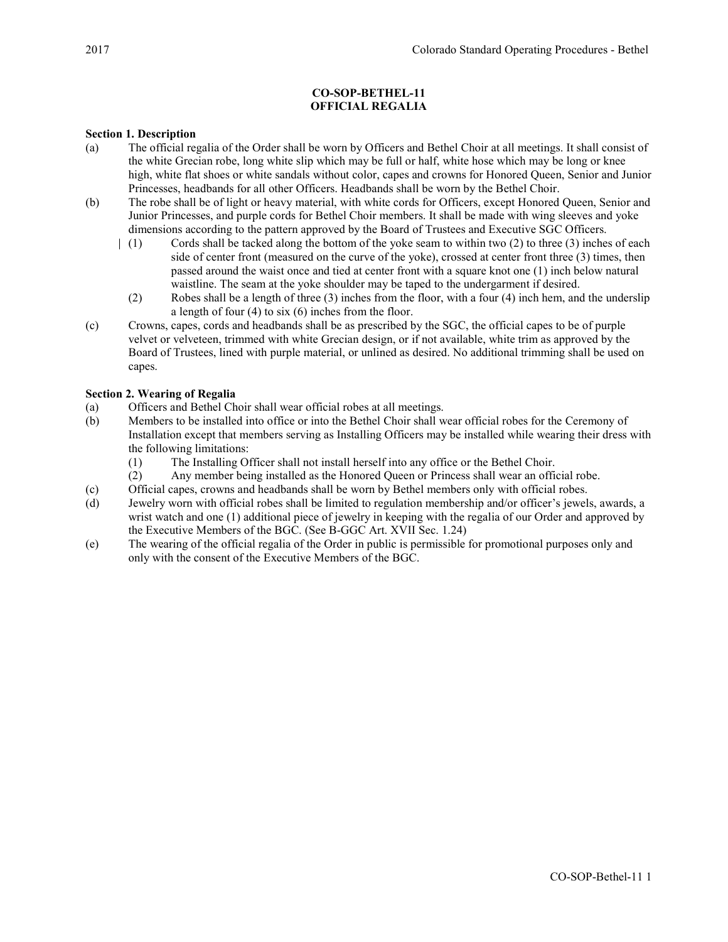# CO-SOP-BETHEL-11 OFFICIAL REGALIA

## Section 1. Description

- (a) The official regalia of the Order shall be worn by Officers and Bethel Choir at all meetings. It shall consist of the white Grecian robe, long white slip which may be full or half, white hose which may be long or knee high, white flat shoes or white sandals without color, capes and crowns for Honored Queen, Senior and Junior Princesses, headbands for all other Officers. Headbands shall be worn by the Bethel Choir.
- (b) The robe shall be of light or heavy material, with white cords for Officers, except Honored Queen, Senior and Junior Princesses, and purple cords for Bethel Choir members. It shall be made with wing sleeves and yoke dimensions according to the pattern approved by the Board of Trustees and Executive SGC Officers.
	- (1) Cords shall be tacked along the bottom of the yoke seam to within two (2) to three (3) inches of each side of center front (measured on the curve of the yoke), crossed at center front three (3) times, then passed around the waist once and tied at center front with a square knot one (1) inch below natural waistline. The seam at the yoke shoulder may be taped to the undergarment if desired.
		- (2) Robes shall be a length of three (3) inches from the floor, with a four (4) inch hem, and the underslip a length of four (4) to six (6) inches from the floor.
- (c) Crowns, capes, cords and headbands shall be as prescribed by the SGC, the official capes to be of purple velvet or velveteen, trimmed with white Grecian design, or if not available, white trim as approved by the Board of Trustees, lined with purple material, or unlined as desired. No additional trimming shall be used on capes.

## Section 2. Wearing of Regalia

- (a) Officers and Bethel Choir shall wear official robes at all meetings.
- (b) Members to be installed into office or into the Bethel Choir shall wear official robes for the Ceremony of Installation except that members serving as Installing Officers may be installed while wearing their dress with the following limitations:
	- (1) The Installing Officer shall not install herself into any office or the Bethel Choir.
	- (2) Any member being installed as the Honored Queen or Princess shall wear an official robe.
- (c) Official capes, crowns and headbands shall be worn by Bethel members only with official robes.
- (d) Jewelry worn with official robes shall be limited to regulation membership and/or officer's jewels, awards, a wrist watch and one (1) additional piece of jewelry in keeping with the regalia of our Order and approved by the Executive Members of the BGC. (See B-GGC Art. XVII Sec. 1.24)
- (e) The wearing of the official regalia of the Order in public is permissible for promotional purposes only and only with the consent of the Executive Members of the BGC.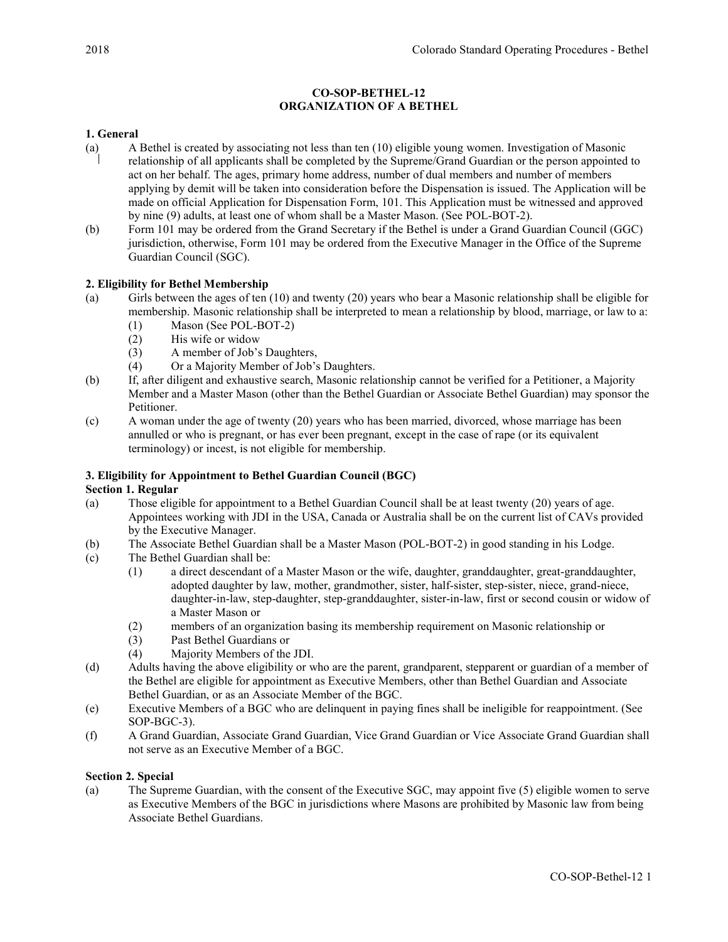# CO-SOP-BETHEL-12 ORGANIZATION OF A BETHEL

# 1. General

- (a) A Bethel is created by associating not less than ten (10) eligible young women. Investigation of Masonic relationship of all applicants shall be completed by the Supreme/Grand Guardian or the person appointed to act on her behalf. The ages, primary home address, number of dual members and number of members applying by demit will be taken into consideration before the Dispensation is issued. The Application will be made on official Application for Dispensation Form, 101. This Application must be witnessed and approved by nine (9) adults, at least one of whom shall be a Master Mason. (See POL-BOT-2).
- (b) Form 101 may be ordered from the Grand Secretary if the Bethel is under a Grand Guardian Council (GGC) jurisdiction, otherwise, Form 101 may be ordered from the Executive Manager in the Office of the Supreme Guardian Council (SGC).

# 2. Eligibility for Bethel Membership

- (a) Girls between the ages of ten (10) and twenty (20) years who bear a Masonic relationship shall be eligible for membership. Masonic relationship shall be interpreted to mean a relationship by blood, marriage, or law to a: (1) Mason (See POL-BOT-2)
	- (2) His wife or widow
	- (3) A member of Job's Daughters,
	- (4) Or a Majority Member of Job's Daughters.
- (b) If, after diligent and exhaustive search, Masonic relationship cannot be verified for a Petitioner, a Majority Member and a Master Mason (other than the Bethel Guardian or Associate Bethel Guardian) may sponsor the Petitioner.
- (c) A woman under the age of twenty (20) years who has been married, divorced, whose marriage has been annulled or who is pregnant, or has ever been pregnant, except in the case of rape (or its equivalent terminology) or incest, is not eligible for membership.

## 3. Eligibility for Appointment to Bethel Guardian Council (BGC)

## Section 1. Regular

- (a) Those eligible for appointment to a Bethel Guardian Council shall be at least twenty (20) years of age. Appointees working with JDI in the USA, Canada or Australia shall be on the current list of CAVs provided by the Executive Manager.
- (b) The Associate Bethel Guardian shall be a Master Mason (POL-BOT-2) in good standing in his Lodge.
- (c) The Bethel Guardian shall be:
	- (1) a direct descendant of a Master Mason or the wife, daughter, granddaughter, great-granddaughter, adopted daughter by law, mother, grandmother, sister, half-sister, step-sister, niece, grand-niece, daughter-in-law, step-daughter, step-granddaughter, sister-in-law, first or second cousin or widow of a Master Mason or
	- (2) members of an organization basing its membership requirement on Masonic relationship or
	- (3) Past Bethel Guardians or
	- (4) Majority Members of the JDI.
- (d) Adults having the above eligibility or who are the parent, grandparent, stepparent or guardian of a member of the Bethel are eligible for appointment as Executive Members, other than Bethel Guardian and Associate Bethel Guardian, or as an Associate Member of the BGC.
- (e) Executive Members of a BGC who are delinquent in paying fines shall be ineligible for reappointment. (See SOP-BGC-3).
- (f) A Grand Guardian, Associate Grand Guardian, Vice Grand Guardian or Vice Associate Grand Guardian shall not serve as an Executive Member of a BGC.

## Section 2. Special

(a) The Supreme Guardian, with the consent of the Executive SGC, may appoint five (5) eligible women to serve as Executive Members of the BGC in jurisdictions where Masons are prohibited by Masonic law from being Associate Bethel Guardians.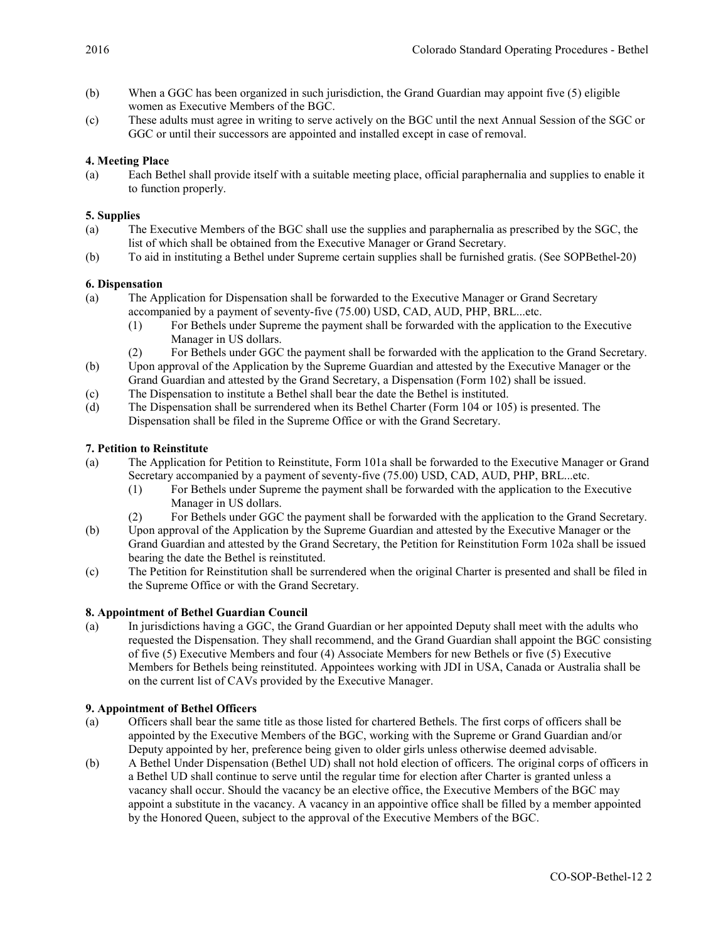- (b) When a GGC has been organized in such jurisdiction, the Grand Guardian may appoint five (5) eligible women as Executive Members of the BGC.
- (c) These adults must agree in writing to serve actively on the BGC until the next Annual Session of the SGC or GGC or until their successors are appointed and installed except in case of removal.

# 4. Meeting Place

(a) Each Bethel shall provide itself with a suitable meeting place, official paraphernalia and supplies to enable it to function properly.

## 5. Supplies

- (a) The Executive Members of the BGC shall use the supplies and paraphernalia as prescribed by the SGC, the list of which shall be obtained from the Executive Manager or Grand Secretary.
- (b) To aid in instituting a Bethel under Supreme certain supplies shall be furnished gratis. (See SOPBethel-20)

# 6. Dispensation

- (a) The Application for Dispensation shall be forwarded to the Executive Manager or Grand Secretary accompanied by a payment of seventy-five (75.00) USD, CAD, AUD, PHP, BRL...etc.
	- (1) For Bethels under Supreme the payment shall be forwarded with the application to the Executive Manager in US dollars.
	- (2) For Bethels under GGC the payment shall be forwarded with the application to the Grand Secretary.
- (b) Upon approval of the Application by the Supreme Guardian and attested by the Executive Manager or the Grand Guardian and attested by the Grand Secretary, a Dispensation (Form 102) shall be issued.
- (c) The Dispensation to institute a Bethel shall bear the date the Bethel is instituted.
- (d) The Dispensation shall be surrendered when its Bethel Charter (Form 104 or 105) is presented. The Dispensation shall be filed in the Supreme Office or with the Grand Secretary.

# 7. Petition to Reinstitute

- (a) The Application for Petition to Reinstitute, Form 101a shall be forwarded to the Executive Manager or Grand Secretary accompanied by a payment of seventy-five (75.00) USD, CAD, AUD, PHP, BRL...etc.
	- (1) For Bethels under Supreme the payment shall be forwarded with the application to the Executive Manager in US dollars.
	- (2) For Bethels under GGC the payment shall be forwarded with the application to the Grand Secretary.
- (b) Upon approval of the Application by the Supreme Guardian and attested by the Executive Manager or the Grand Guardian and attested by the Grand Secretary, the Petition for Reinstitution Form 102a shall be issued bearing the date the Bethel is reinstituted.
- (c) The Petition for Reinstitution shall be surrendered when the original Charter is presented and shall be filed in the Supreme Office or with the Grand Secretary.

## 8. Appointment of Bethel Guardian Council

(a) In jurisdictions having a GGC, the Grand Guardian or her appointed Deputy shall meet with the adults who requested the Dispensation. They shall recommend, and the Grand Guardian shall appoint the BGC consisting of five (5) Executive Members and four (4) Associate Members for new Bethels or five (5) Executive Members for Bethels being reinstituted. Appointees working with JDI in USA, Canada or Australia shall be on the current list of CAVs provided by the Executive Manager.

## 9. Appointment of Bethel Officers

- (a) Officers shall bear the same title as those listed for chartered Bethels. The first corps of officers shall be appointed by the Executive Members of the BGC, working with the Supreme or Grand Guardian and/or Deputy appointed by her, preference being given to older girls unless otherwise deemed advisable.
- (b) A Bethel Under Dispensation (Bethel UD) shall not hold election of officers. The original corps of officers in a Bethel UD shall continue to serve until the regular time for election after Charter is granted unless a vacancy shall occur. Should the vacancy be an elective office, the Executive Members of the BGC may appoint a substitute in the vacancy. A vacancy in an appointive office shall be filled by a member appointed by the Honored Queen, subject to the approval of the Executive Members of the BGC.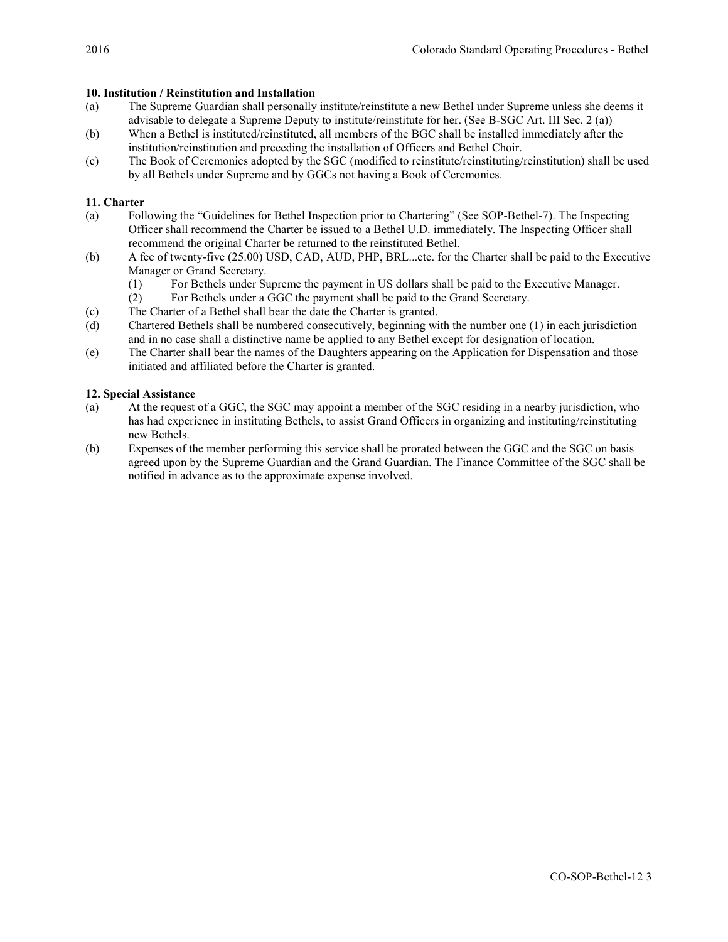## 10. Institution / Reinstitution and Installation

- (a) The Supreme Guardian shall personally institute/reinstitute a new Bethel under Supreme unless she deems it advisable to delegate a Supreme Deputy to institute/reinstitute for her. (See B-SGC Art. III Sec. 2 (a))
- (b) When a Bethel is instituted/reinstituted, all members of the BGC shall be installed immediately after the institution/reinstitution and preceding the installation of Officers and Bethel Choir.
- (c) The Book of Ceremonies adopted by the SGC (modified to reinstitute/reinstituting/reinstitution) shall be used by all Bethels under Supreme and by GGCs not having a Book of Ceremonies.

## 11. Charter

- (a) Following the "Guidelines for Bethel Inspection prior to Chartering" (See SOP-Bethel-7). The Inspecting Officer shall recommend the Charter be issued to a Bethel U.D. immediately. The Inspecting Officer shall recommend the original Charter be returned to the reinstituted Bethel.
- (b) A fee of twenty-five (25.00) USD, CAD, AUD, PHP, BRL...etc. for the Charter shall be paid to the Executive Manager or Grand Secretary.
	- (1) For Bethels under Supreme the payment in US dollars shall be paid to the Executive Manager.
	- (2) For Bethels under a GGC the payment shall be paid to the Grand Secretary.
- (c) The Charter of a Bethel shall bear the date the Charter is granted.
- (d) Chartered Bethels shall be numbered consecutively, beginning with the number one (1) in each jurisdiction and in no case shall a distinctive name be applied to any Bethel except for designation of location.
- (e) The Charter shall bear the names of the Daughters appearing on the Application for Dispensation and those initiated and affiliated before the Charter is granted.

# 12. Special Assistance

- (a) At the request of a GGC, the SGC may appoint a member of the SGC residing in a nearby jurisdiction, who has had experience in instituting Bethels, to assist Grand Officers in organizing and instituting/reinstituting new Bethels.
- (b) Expenses of the member performing this service shall be prorated between the GGC and the SGC on basis agreed upon by the Supreme Guardian and the Grand Guardian. The Finance Committee of the SGC shall be notified in advance as to the approximate expense involved.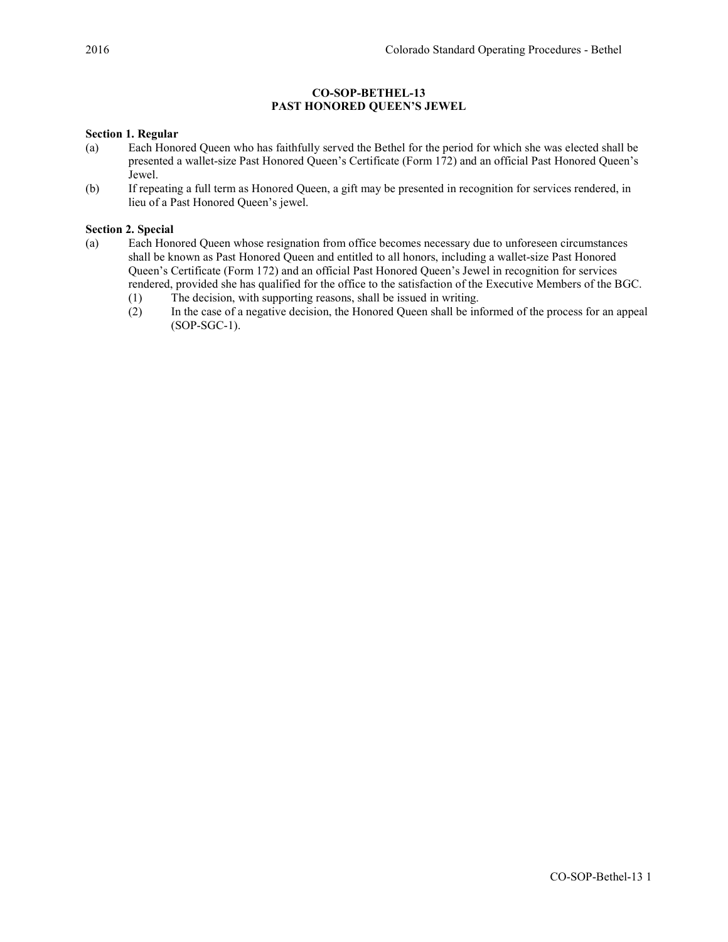## CO-SOP-BETHEL-13 PAST HONORED QUEEN'S JEWEL

## Section 1. Regular

- (a) Each Honored Queen who has faithfully served the Bethel for the period for which she was elected shall be presented a wallet-size Past Honored Queen's Certificate (Form 172) and an official Past Honored Queen's Jewel.
- (b) If repeating a full term as Honored Queen, a gift may be presented in recognition for services rendered, in lieu of a Past Honored Queen's jewel.

## Section 2. Special

- (a) Each Honored Queen whose resignation from office becomes necessary due to unforeseen circumstances shall be known as Past Honored Queen and entitled to all honors, including a wallet-size Past Honored Queen's Certificate (Form 172) and an official Past Honored Queen's Jewel in recognition for services rendered, provided she has qualified for the office to the satisfaction of the Executive Members of the BGC.
	- (1) The decision, with supporting reasons, shall be issued in writing.
	- (2) In the case of a negative decision, the Honored Queen shall be informed of the process for an appeal (SOP-SGC-1).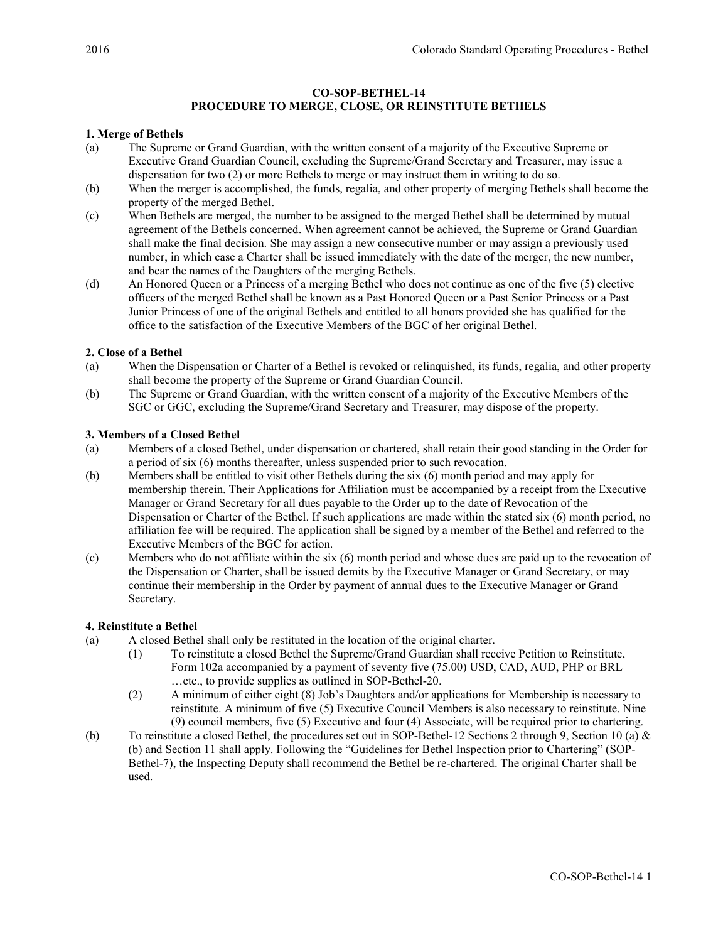## CO-SOP-BETHEL-14

# PROCEDURE TO MERGE, CLOSE, OR REINSTITUTE BETHELS

## 1. Merge of Bethels

- (a) The Supreme or Grand Guardian, with the written consent of a majority of the Executive Supreme or Executive Grand Guardian Council, excluding the Supreme/Grand Secretary and Treasurer, may issue a dispensation for two (2) or more Bethels to merge or may instruct them in writing to do so.
- (b) When the merger is accomplished, the funds, regalia, and other property of merging Bethels shall become the property of the merged Bethel.
- (c) When Bethels are merged, the number to be assigned to the merged Bethel shall be determined by mutual agreement of the Bethels concerned. When agreement cannot be achieved, the Supreme or Grand Guardian shall make the final decision. She may assign a new consecutive number or may assign a previously used number, in which case a Charter shall be issued immediately with the date of the merger, the new number, and bear the names of the Daughters of the merging Bethels.
- (d) An Honored Queen or a Princess of a merging Bethel who does not continue as one of the five (5) elective officers of the merged Bethel shall be known as a Past Honored Queen or a Past Senior Princess or a Past Junior Princess of one of the original Bethels and entitled to all honors provided she has qualified for the office to the satisfaction of the Executive Members of the BGC of her original Bethel.

## 2. Close of a Bethel

- (a) When the Dispensation or Charter of a Bethel is revoked or relinquished, its funds, regalia, and other property shall become the property of the Supreme or Grand Guardian Council.
- (b) The Supreme or Grand Guardian, with the written consent of a majority of the Executive Members of the SGC or GGC, excluding the Supreme/Grand Secretary and Treasurer, may dispose of the property.

## 3. Members of a Closed Bethel

- (a) Members of a closed Bethel, under dispensation or chartered, shall retain their good standing in the Order for a period of six (6) months thereafter, unless suspended prior to such revocation.
- (b) Members shall be entitled to visit other Bethels during the six (6) month period and may apply for membership therein. Their Applications for Affiliation must be accompanied by a receipt from the Executive Manager or Grand Secretary for all dues payable to the Order up to the date of Revocation of the Dispensation or Charter of the Bethel. If such applications are made within the stated six (6) month period, no affiliation fee will be required. The application shall be signed by a member of the Bethel and referred to the Executive Members of the BGC for action.
- (c) Members who do not affiliate within the six (6) month period and whose dues are paid up to the revocation of the Dispensation or Charter, shall be issued demits by the Executive Manager or Grand Secretary, or may continue their membership in the Order by payment of annual dues to the Executive Manager or Grand Secretary.

## 4. Reinstitute a Bethel

- (a) A closed Bethel shall only be restituted in the location of the original charter.
	- (1) To reinstitute a closed Bethel the Supreme/Grand Guardian shall receive Petition to Reinstitute, Form 102a accompanied by a payment of seventy five (75.00) USD, CAD, AUD, PHP or BRL …etc., to provide supplies as outlined in SOP-Bethel-20.
	- (2) A minimum of either eight (8) Job's Daughters and/or applications for Membership is necessary to reinstitute. A minimum of five (5) Executive Council Members is also necessary to reinstitute. Nine (9) council members, five (5) Executive and four (4) Associate, will be required prior to chartering.
- (b) To reinstitute a closed Bethel, the procedures set out in SOP-Bethel-12 Sections 2 through 9, Section 10 (a)  $\&$ (b) and Section 11 shall apply. Following the "Guidelines for Bethel Inspection prior to Chartering" (SOP-Bethel-7), the Inspecting Deputy shall recommend the Bethel be re-chartered. The original Charter shall be used.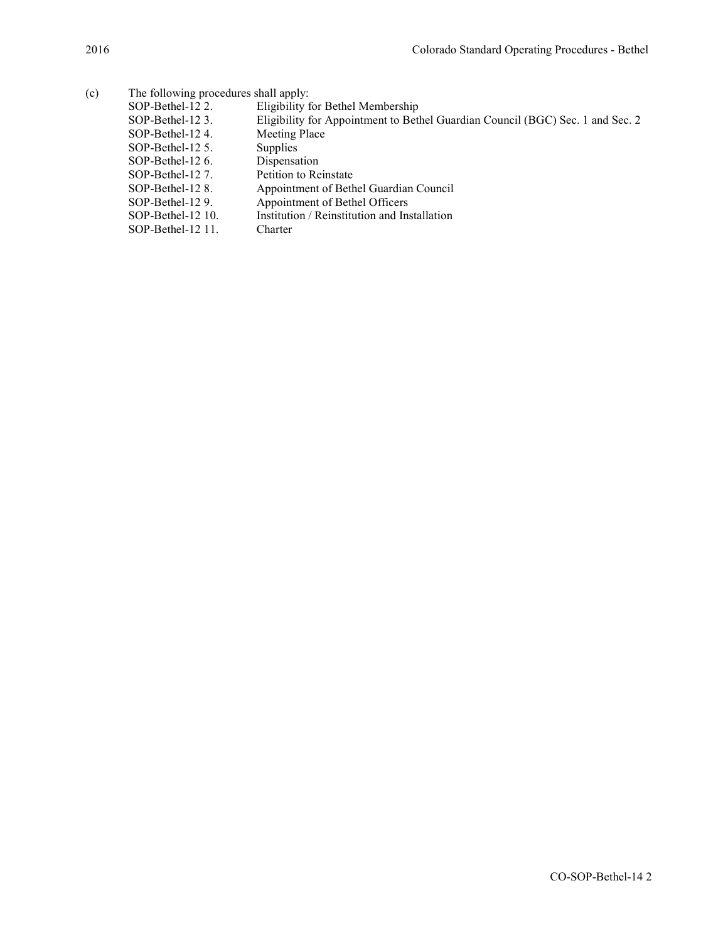| (c) | The following procedures shall apply: |                                                                                |  |  |
|-----|---------------------------------------|--------------------------------------------------------------------------------|--|--|
|     | SOP-Bethel-12 2.                      | Eligibility for Bethel Membership                                              |  |  |
|     | SOP-Bethel-12 3.                      | Eligibility for Appointment to Bethel Guardian Council (BGC) Sec. 1 and Sec. 2 |  |  |
|     | SOP-Bethel-124.                       | Meeting Place                                                                  |  |  |
|     | $SOP-Bethel-12$ 5.                    | Supplies                                                                       |  |  |
|     | $SOP-Bethel-126$ .                    | Dispensation                                                                   |  |  |
|     | SOP-Bethel-12 7.                      | Petition to Reinstate                                                          |  |  |
|     | SOP-Bethel-12 8.                      | Appointment of Bethel Guardian Council                                         |  |  |
|     | SOP-Bethel-129.                       | Appointment of Bethel Officers                                                 |  |  |
|     | SOP-Bethel-12 10.                     | Institution / Reinstitution and Installation                                   |  |  |
|     | $SOP-Bethel-12$ 11.                   | Charter                                                                        |  |  |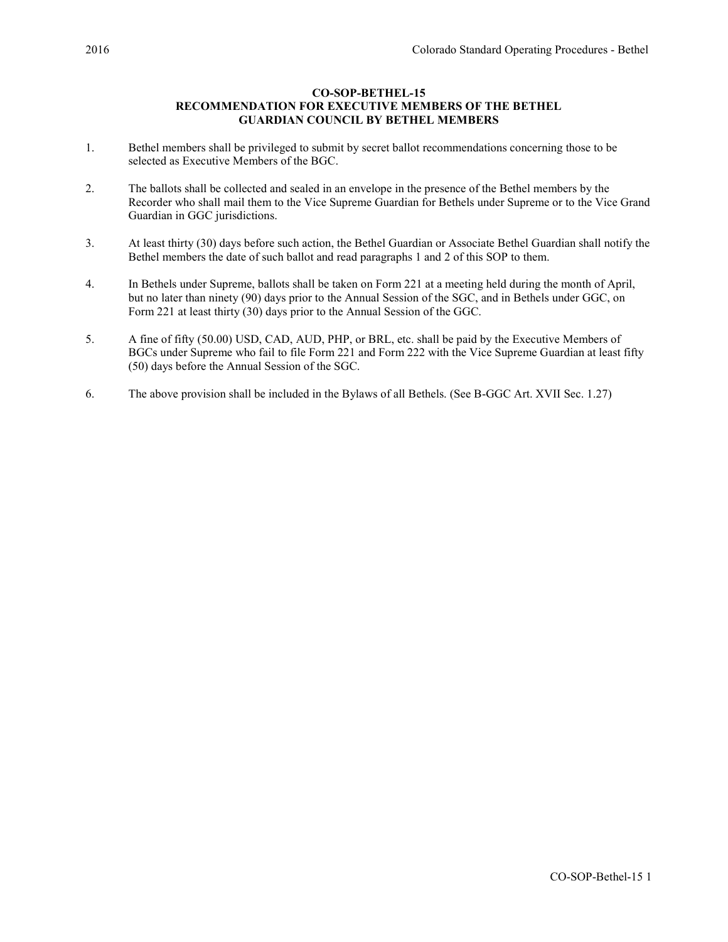## CO-SOP-BETHEL-15 RECOMMENDATION FOR EXECUTIVE MEMBERS OF THE BETHEL GUARDIAN COUNCIL BY BETHEL MEMBERS

- 1. Bethel members shall be privileged to submit by secret ballot recommendations concerning those to be selected as Executive Members of the BGC.
- 2. The ballots shall be collected and sealed in an envelope in the presence of the Bethel members by the Recorder who shall mail them to the Vice Supreme Guardian for Bethels under Supreme or to the Vice Grand Guardian in GGC jurisdictions.
- 3. At least thirty (30) days before such action, the Bethel Guardian or Associate Bethel Guardian shall notify the Bethel members the date of such ballot and read paragraphs 1 and 2 of this SOP to them.
- 4. In Bethels under Supreme, ballots shall be taken on Form 221 at a meeting held during the month of April, but no later than ninety (90) days prior to the Annual Session of the SGC, and in Bethels under GGC, on Form 221 at least thirty (30) days prior to the Annual Session of the GGC.
- 5. A fine of fifty (50.00) USD, CAD, AUD, PHP, or BRL, etc. shall be paid by the Executive Members of BGCs under Supreme who fail to file Form 221 and Form 222 with the Vice Supreme Guardian at least fifty (50) days before the Annual Session of the SGC.
- 6. The above provision shall be included in the Bylaws of all Bethels. (See B-GGC Art. XVII Sec. 1.27)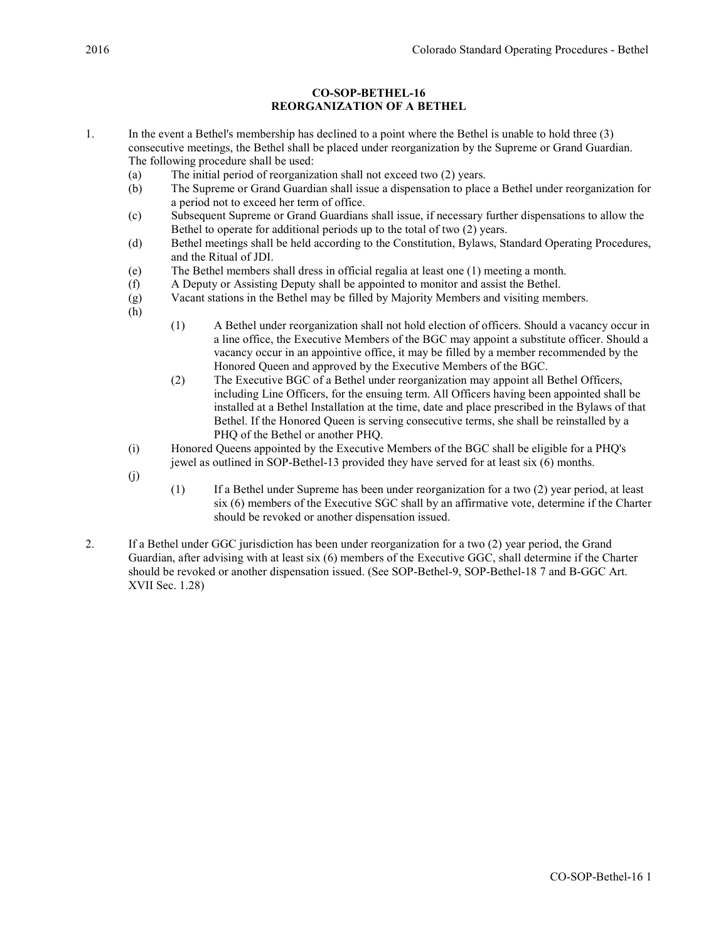# CO-SOP-BETHEL-16 REORGANIZATION OF A BETHEL

- 1. In the event a Bethel's membership has declined to a point where the Bethel is unable to hold three (3) consecutive meetings, the Bethel shall be placed under reorganization by the Supreme or Grand Guardian. The following procedure shall be used:
	- (a) The initial period of reorganization shall not exceed two (2) years.
	- (b) The Supreme or Grand Guardian shall issue a dispensation to place a Bethel under reorganization for a period not to exceed her term of office.
	- (c) Subsequent Supreme or Grand Guardians shall issue, if necessary further dispensations to allow the Bethel to operate for additional periods up to the total of two (2) years.
	- (d) Bethel meetings shall be held according to the Constitution, Bylaws, Standard Operating Procedures, and the Ritual of JDI.
	- (e) The Bethel members shall dress in official regalia at least one (1) meeting a month.
	- (f) A Deputy or Assisting Deputy shall be appointed to monitor and assist the Bethel.
	- (g) Vacant stations in the Bethel may be filled by Majority Members and visiting members.
	- (h)
- (1) A Bethel under reorganization shall not hold election of officers. Should a vacancy occur in a line office, the Executive Members of the BGC may appoint a substitute officer. Should a vacancy occur in an appointive office, it may be filled by a member recommended by the Honored Queen and approved by the Executive Members of the BGC.
- (2) The Executive BGC of a Bethel under reorganization may appoint all Bethel Officers, including Line Officers, for the ensuing term. All Officers having been appointed shall be installed at a Bethel Installation at the time, date and place prescribed in the Bylaws of that Bethel. If the Honored Queen is serving consecutive terms, she shall be reinstalled by a PHQ of the Bethel or another PHQ.
- (i) Honored Queens appointed by the Executive Members of the BGC shall be eligible for a PHQ's jewel as outlined in SOP-Bethel-13 provided they have served for at least six (6) months.
- (j)
- (1) If a Bethel under Supreme has been under reorganization for a two (2) year period, at least six (6) members of the Executive SGC shall by an affirmative vote, determine if the Charter should be revoked or another dispensation issued.
- 2. If a Bethel under GGC jurisdiction has been under reorganization for a two (2) year period, the Grand Guardian, after advising with at least six (6) members of the Executive GGC, shall determine if the Charter should be revoked or another dispensation issued. (See SOP-Bethel-9, SOP-Bethel-18 7 and B-GGC Art. XVII Sec. 1.28)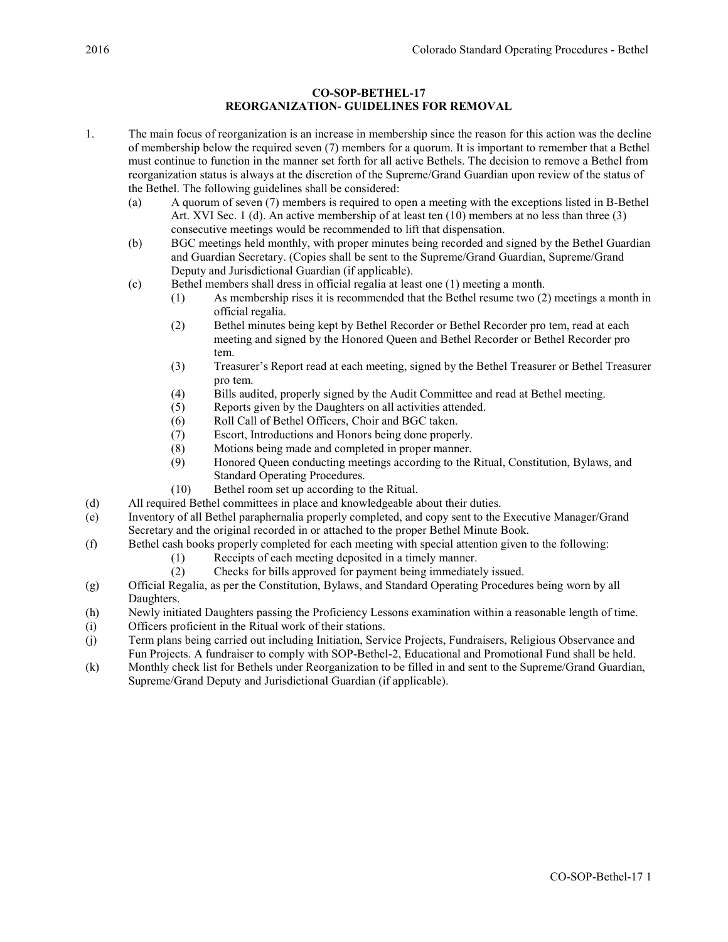# CO-SOP-BETHEL-17 REORGANIZATION- GUIDELINES FOR REMOVAL

- 1. The main focus of reorganization is an increase in membership since the reason for this action was the decline of membership below the required seven (7) members for a quorum. It is important to remember that a Bethel must continue to function in the manner set forth for all active Bethels. The decision to remove a Bethel from reorganization status is always at the discretion of the Supreme/Grand Guardian upon review of the status of the Bethel. The following guidelines shall be considered:
	- (a) A quorum of seven (7) members is required to open a meeting with the exceptions listed in B-Bethel Art. XVI Sec. 1 (d). An active membership of at least ten (10) members at no less than three (3) consecutive meetings would be recommended to lift that dispensation.
	- (b) BGC meetings held monthly, with proper minutes being recorded and signed by the Bethel Guardian and Guardian Secretary. (Copies shall be sent to the Supreme/Grand Guardian, Supreme/Grand Deputy and Jurisdictional Guardian (if applicable).
	- (c) Bethel members shall dress in official regalia at least one (1) meeting a month.
		- (1) As membership rises it is recommended that the Bethel resume two (2) meetings a month in official regalia.
		- (2) Bethel minutes being kept by Bethel Recorder or Bethel Recorder pro tem, read at each meeting and signed by the Honored Queen and Bethel Recorder or Bethel Recorder pro tem.
		- (3) Treasurer's Report read at each meeting, signed by the Bethel Treasurer or Bethel Treasurer pro tem.
		- (4) Bills audited, properly signed by the Audit Committee and read at Bethel meeting.
		- (5) Reports given by the Daughters on all activities attended.
		- (6) Roll Call of Bethel Officers, Choir and BGC taken.
		- (7) Escort, Introductions and Honors being done properly.
		- (8) Motions being made and completed in proper manner.
		- (9) Honored Queen conducting meetings according to the Ritual, Constitution, Bylaws, and Standard Operating Procedures.
		- (10) Bethel room set up according to the Ritual.
- (d) All required Bethel committees in place and knowledgeable about their duties.
- (e) Inventory of all Bethel paraphernalia properly completed, and copy sent to the Executive Manager/Grand Secretary and the original recorded in or attached to the proper Bethel Minute Book.
- (f) Bethel cash books properly completed for each meeting with special attention given to the following:
	- (1) Receipts of each meeting deposited in a timely manner.
	- (2) Checks for bills approved for payment being immediately issued.
- (g) Official Regalia, as per the Constitution, Bylaws, and Standard Operating Procedures being worn by all Daughters.
- (h) Newly initiated Daughters passing the Proficiency Lessons examination within a reasonable length of time.
- (i) Officers proficient in the Ritual work of their stations.
- (j) Term plans being carried out including Initiation, Service Projects, Fundraisers, Religious Observance and Fun Projects. A fundraiser to comply with SOP-Bethel-2, Educational and Promotional Fund shall be held.
- (k) Monthly check list for Bethels under Reorganization to be filled in and sent to the Supreme/Grand Guardian, Supreme/Grand Deputy and Jurisdictional Guardian (if applicable).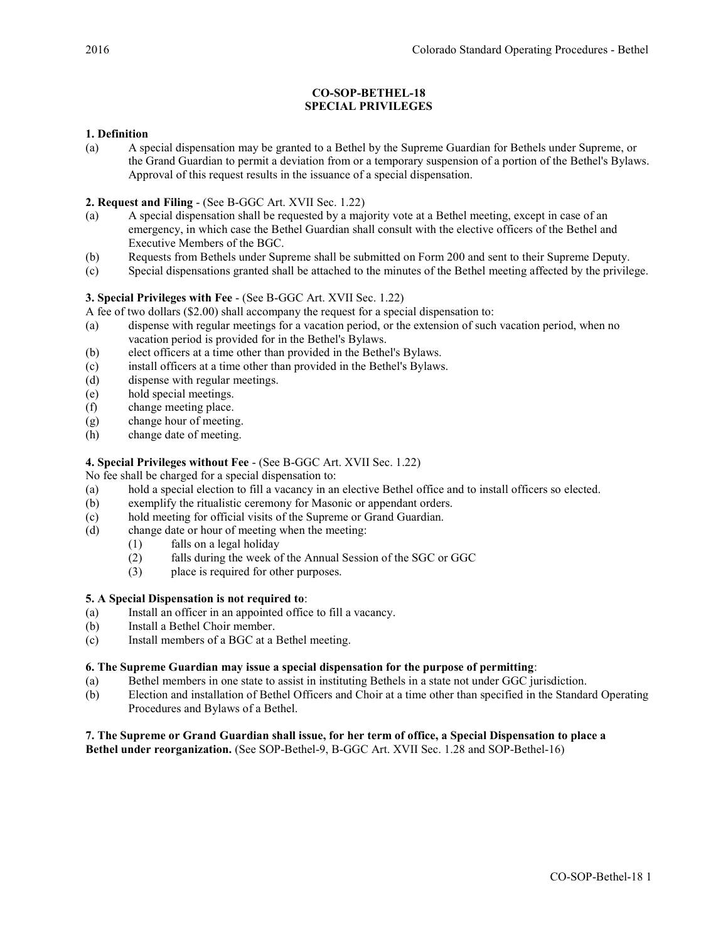# CO-SOP-BETHEL-18 SPECIAL PRIVILEGES

# 1. Definition

(a) A special dispensation may be granted to a Bethel by the Supreme Guardian for Bethels under Supreme, or the Grand Guardian to permit a deviation from or a temporary suspension of a portion of the Bethel's Bylaws. Approval of this request results in the issuance of a special dispensation.

# 2. Request and Filing - (See B-GGC Art. XVII Sec. 1.22)

- (a) A special dispensation shall be requested by a majority vote at a Bethel meeting, except in case of an emergency, in which case the Bethel Guardian shall consult with the elective officers of the Bethel and Executive Members of the BGC.
- (b) Requests from Bethels under Supreme shall be submitted on Form 200 and sent to their Supreme Deputy.
- (c) Special dispensations granted shall be attached to the minutes of the Bethel meeting affected by the privilege.

# 3. Special Privileges with Fee - (See B-GGC Art. XVII Sec. 1.22)

A fee of two dollars (\$2.00) shall accompany the request for a special dispensation to:

- (a) dispense with regular meetings for a vacation period, or the extension of such vacation period, when no vacation period is provided for in the Bethel's Bylaws.
- (b) elect officers at a time other than provided in the Bethel's Bylaws.
- (c) install officers at a time other than provided in the Bethel's Bylaws.
- (d) dispense with regular meetings.
- (e) hold special meetings.
- (f) change meeting place.
- (g) change hour of meeting.
- (h) change date of meeting.

# 4. Special Privileges without Fee - (See B-GGC Art. XVII Sec. 1.22)

No fee shall be charged for a special dispensation to:

- (a) hold a special election to fill a vacancy in an elective Bethel office and to install officers so elected.
- (b) exemplify the ritualistic ceremony for Masonic or appendant orders.
- (c) hold meeting for official visits of the Supreme or Grand Guardian.
- (d) change date or hour of meeting when the meeting:
	- (1) falls on a legal holiday
		- (2) falls during the week of the Annual Session of the SGC or GGC
		- (3) place is required for other purposes.

## 5. A Special Dispensation is not required to:

- (a) Install an officer in an appointed office to fill a vacancy.
- (b) Install a Bethel Choir member.
- (c) Install members of a BGC at a Bethel meeting.

## 6. The Supreme Guardian may issue a special dispensation for the purpose of permitting:

- (a) Bethel members in one state to assist in instituting Bethels in a state not under GGC jurisdiction.
- (b) Election and installation of Bethel Officers and Choir at a time other than specified in the Standard Operating Procedures and Bylaws of a Bethel.

## 7. The Supreme or Grand Guardian shall issue, for her term of office, a Special Dispensation to place a Bethel under reorganization. (See SOP-Bethel-9, B-GGC Art. XVII Sec. 1.28 and SOP-Bethel-16)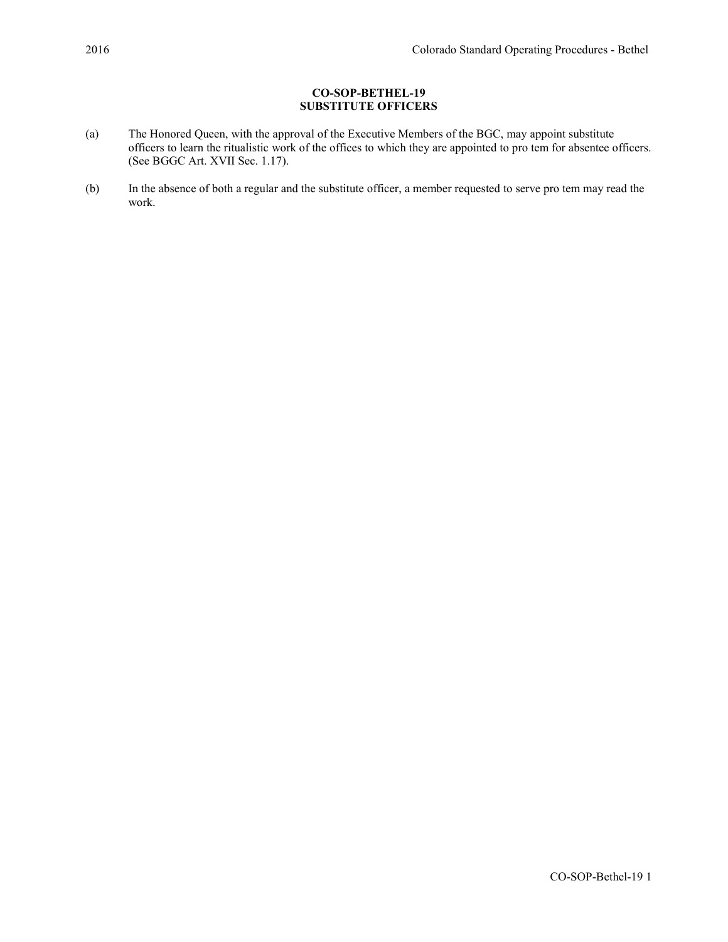# CO-SOP-BETHEL-19 SUBSTITUTE OFFICERS

- (a) The Honored Queen, with the approval of the Executive Members of the BGC, may appoint substitute officers to learn the ritualistic work of the offices to which they are appointed to pro tem for absentee officers. (See BGGC Art. XVII Sec. 1.17).
- (b) In the absence of both a regular and the substitute officer, a member requested to serve pro tem may read the work.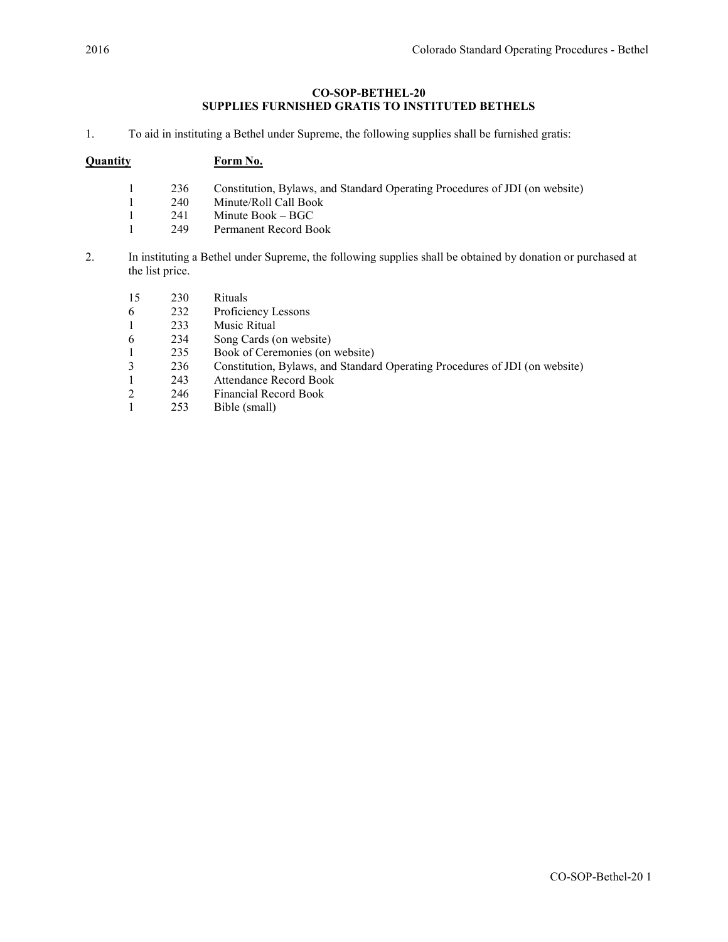# CO-SOP-BETHEL-20 SUPPLIES FURNISHED GRATIS TO INSTITUTED BETHELS

1. To aid in instituting a Bethel under Supreme, the following supplies shall be furnished gratis:

# Quantity Form No.

- 1 236 Constitution, Bylaws, and Standard Operating Procedures of JDI (on website)
- 1 240 Minute/Roll Call Book<br>1 241 Minute Book BGC
- 1 241 Minute Book BGC
- 1 249 Permanent Record Book
- 2. In instituting a Bethel under Supreme, the following supplies shall be obtained by donation or purchased at the list price.
	- 15 230 Rituals 6 232 Proficiency Lessons 1 233 Music Ritual
	-
	- 6 234 Song Cards (on website)<br>1 235 Book of Ceremonies (on
	- 1 235 Book of Ceremonies (on website)<br>236 Constitution, Bylaws, and Standar 3 236 Constitution, Bylaws, and Standard Operating Procedures of JDI (on website)
	- 1 243 Attendance Record Book
	- 2 246 Financial Record Book<br>1 253 Bible (small)
	- Bible (small)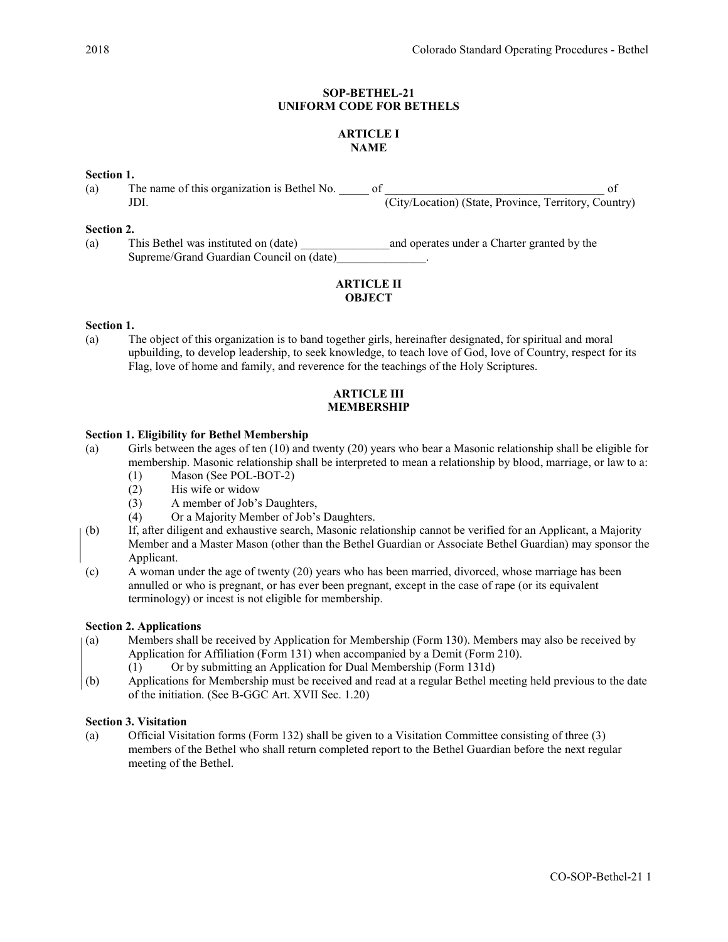## SOP-BETHEL-21 UNIFORM CODE FOR BETHELS

# ARTICLE I NAME

## Section 1.

| (a) | The name of this organization is Bethel No. |  |                                                       |  |
|-----|---------------------------------------------|--|-------------------------------------------------------|--|
|     |                                             |  | (City/Location) (State, Province, Territory, Country) |  |

#### Section 2.

(a) This Bethel was instituted on (date) and operates under a Charter granted by the Supreme/Grand Guardian Council on (date)\_\_\_\_\_\_\_\_\_\_\_\_\_\_\_.

## ARTICLE II **OBJECT**

#### Section 1.

(a) The object of this organization is to band together girls, hereinafter designated, for spiritual and moral upbuilding, to develop leadership, to seek knowledge, to teach love of God, love of Country, respect for its Flag, love of home and family, and reverence for the teachings of the Holy Scriptures.

#### ARTICLE III MEMBERSHIP

## Section 1. Eligibility for Bethel Membership

- (a) Girls between the ages of ten (10) and twenty (20) years who bear a Masonic relationship shall be eligible for membership. Masonic relationship shall be interpreted to mean a relationship by blood, marriage, or law to a:
	- (1) Mason (See POL-BOT-2)
	- (2) His wife or widow
	- (3) A member of Job's Daughters,
	- (4) Or a Majority Member of Job's Daughters.
- (b) If, after diligent and exhaustive search, Masonic relationship cannot be verified for an Applicant, a Majority Member and a Master Mason (other than the Bethel Guardian or Associate Bethel Guardian) may sponsor the Applicant.
- (c) A woman under the age of twenty (20) years who has been married, divorced, whose marriage has been annulled or who is pregnant, or has ever been pregnant, except in the case of rape (or its equivalent terminology) or incest is not eligible for membership.

#### Section 2. Applications

- (a) Members shall be received by Application for Membership (Form 130). Members may also be received by Application for Affiliation (Form 131) when accompanied by a Demit (Form 210).
	- (1) Or by submitting an Application for Dual Membership (Form 131d)
- (b) Applications for Membership must be received and read at a regular Bethel meeting held previous to the date of the initiation. (See B-GGC Art. XVII Sec. 1.20)

#### Section 3. Visitation

(a) Official Visitation forms (Form 132) shall be given to a Visitation Committee consisting of three (3) members of the Bethel who shall return completed report to the Bethel Guardian before the next regular meeting of the Bethel.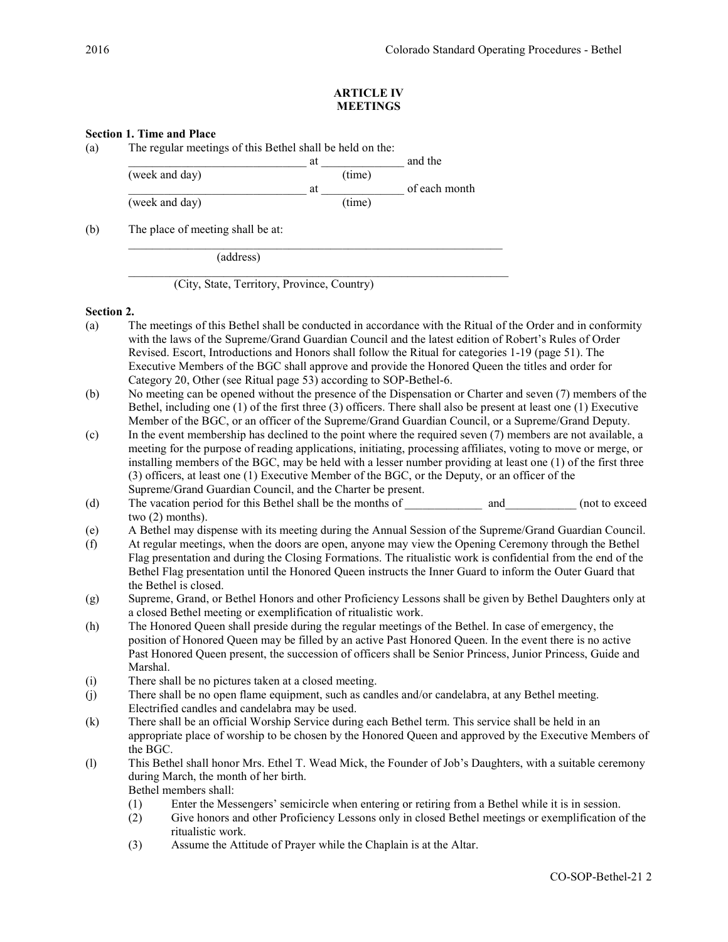## ARTICLE IV MEETINGS

# Section 1. Time and Place

| The regular meetings of this Bethel shall be held on the: |        |               |  |  |  |
|-----------------------------------------------------------|--------|---------------|--|--|--|
|                                                           | at     | and the       |  |  |  |
| (week and day)                                            | (time) |               |  |  |  |
|                                                           | at     | of each month |  |  |  |
| (week and day)                                            | (time) |               |  |  |  |

 $\mathcal{L}_\text{max} = \mathcal{L}_\text{max} = \mathcal{L}_\text{max} = \mathcal{L}_\text{max} = \mathcal{L}_\text{max} = \mathcal{L}_\text{max} = \mathcal{L}_\text{max} = \mathcal{L}_\text{max} = \mathcal{L}_\text{max} = \mathcal{L}_\text{max} = \mathcal{L}_\text{max} = \mathcal{L}_\text{max} = \mathcal{L}_\text{max} = \mathcal{L}_\text{max} = \mathcal{L}_\text{max} = \mathcal{L}_\text{max} = \mathcal{L}_\text{max} = \mathcal{L}_\text{max} = \mathcal{$ 

(b) The place of meeting shall be at:

(address)

(City, State, Territory, Province, Country)

#### Section 2.

- (a) The meetings of this Bethel shall be conducted in accordance with the Ritual of the Order and in conformity with the laws of the Supreme/Grand Guardian Council and the latest edition of Robert's Rules of Order Revised. Escort, Introductions and Honors shall follow the Ritual for categories 1-19 (page 51). The Executive Members of the BGC shall approve and provide the Honored Queen the titles and order for Category 20, Other (see Ritual page 53) according to SOP-Bethel-6.
- (b) No meeting can be opened without the presence of the Dispensation or Charter and seven (7) members of the Bethel, including one (1) of the first three (3) officers. There shall also be present at least one (1) Executive Member of the BGC, or an officer of the Supreme/Grand Guardian Council, or a Supreme/Grand Deputy.
- (c) In the event membership has declined to the point where the required seven (7) members are not available, a meeting for the purpose of reading applications, initiating, processing affiliates, voting to move or merge, or installing members of the BGC, may be held with a lesser number providing at least one (1) of the first three (3) officers, at least one (1) Executive Member of the BGC, or the Deputy, or an officer of the Supreme/Grand Guardian Council, and the Charter be present.
- (d) The vacation period for this Bethel shall be the months of and (not to exceed two (2) months).
- (e) A Bethel may dispense with its meeting during the Annual Session of the Supreme/Grand Guardian Council.
- (f) At regular meetings, when the doors are open, anyone may view the Opening Ceremony through the Bethel Flag presentation and during the Closing Formations. The ritualistic work is confidential from the end of the Bethel Flag presentation until the Honored Queen instructs the Inner Guard to inform the Outer Guard that the Bethel is closed.
- (g) Supreme, Grand, or Bethel Honors and other Proficiency Lessons shall be given by Bethel Daughters only at a closed Bethel meeting or exemplification of ritualistic work.
- (h) The Honored Queen shall preside during the regular meetings of the Bethel. In case of emergency, the position of Honored Queen may be filled by an active Past Honored Queen. In the event there is no active Past Honored Queen present, the succession of officers shall be Senior Princess, Junior Princess, Guide and Marshal.
- (i) There shall be no pictures taken at a closed meeting.
- (j) There shall be no open flame equipment, such as candles and/or candelabra, at any Bethel meeting. Electrified candles and candelabra may be used.
- (k) There shall be an official Worship Service during each Bethel term. This service shall be held in an appropriate place of worship to be chosen by the Honored Queen and approved by the Executive Members of the BGC.
- (l) This Bethel shall honor Mrs. Ethel T. Wead Mick, the Founder of Job's Daughters, with a suitable ceremony during March, the month of her birth. Bethel members shall:
	- (1) Enter the Messengers' semicircle when entering or retiring from a Bethel while it is in session.
	- (2) Give honors and other Proficiency Lessons only in closed Bethel meetings or exemplification of the ritualistic work.
	- (3) Assume the Attitude of Prayer while the Chaplain is at the Altar.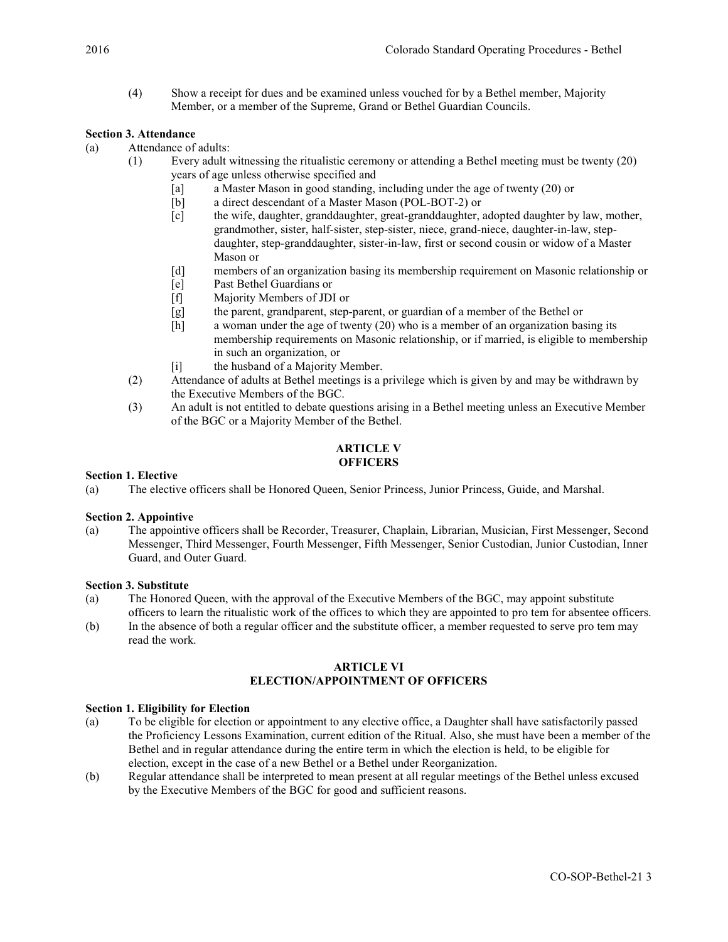(4) Show a receipt for dues and be examined unless vouched for by a Bethel member, Majority Member, or a member of the Supreme, Grand or Bethel Guardian Councils.

# Section 3. Attendance

- (a) Attendance of adults:
	- (1) Every adult witnessing the ritualistic ceremony or attending a Bethel meeting must be twenty (20) years of age unless otherwise specified and
		- [a] a Master Mason in good standing, including under the age of twenty (20) or
		- [b] a direct descendant of a Master Mason (POL-BOT-2) or
		- [c] the wife, daughter, granddaughter, great-granddaughter, adopted daughter by law, mother, grandmother, sister, half-sister, step-sister, niece, grand-niece, daughter-in-law, stepdaughter, step-granddaughter, sister-in-law, first or second cousin or widow of a Master Mason or
		- [d] members of an organization basing its membership requirement on Masonic relationship or
		- [e] Past Bethel Guardians or
		- [f] Majority Members of JDI or
		- [g] the parent, grandparent, step-parent, or guardian of a member of the Bethel or
		- [h] a woman under the age of twenty (20) who is a member of an organization basing its membership requirements on Masonic relationship, or if married, is eligible to membership in such an organization, or
		- [i] the husband of a Majority Member.
		- (2) Attendance of adults at Bethel meetings is a privilege which is given by and may be withdrawn by the Executive Members of the BGC.
		- (3) An adult is not entitled to debate questions arising in a Bethel meeting unless an Executive Member of the BGC or a Majority Member of the Bethel.

## ARTICLE V **OFFICERS**

## Section 1. Elective

(a) The elective officers shall be Honored Queen, Senior Princess, Junior Princess, Guide, and Marshal.

#### Section 2. Appointive

(a) The appointive officers shall be Recorder, Treasurer, Chaplain, Librarian, Musician, First Messenger, Second Messenger, Third Messenger, Fourth Messenger, Fifth Messenger, Senior Custodian, Junior Custodian, Inner Guard, and Outer Guard.

## Section 3. Substitute

- (a) The Honored Queen, with the approval of the Executive Members of the BGC, may appoint substitute officers to learn the ritualistic work of the offices to which they are appointed to pro tem for absentee officers.
- (b) In the absence of both a regular officer and the substitute officer, a member requested to serve pro tem may read the work.

# ARTICLE VI ELECTION/APPOINTMENT OF OFFICERS

#### Section 1. Eligibility for Election

- (a) To be eligible for election or appointment to any elective office, a Daughter shall have satisfactorily passed the Proficiency Lessons Examination, current edition of the Ritual. Also, she must have been a member of the Bethel and in regular attendance during the entire term in which the election is held, to be eligible for election, except in the case of a new Bethel or a Bethel under Reorganization.
- (b) Regular attendance shall be interpreted to mean present at all regular meetings of the Bethel unless excused by the Executive Members of the BGC for good and sufficient reasons.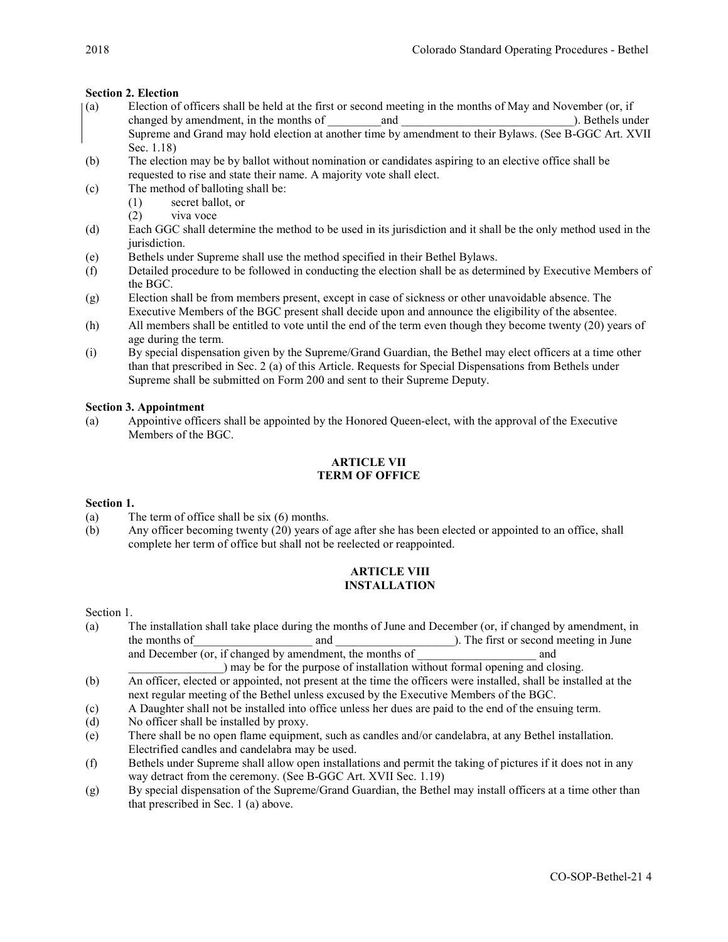# Section 2. Election

- (a) Election of officers shall be held at the first or second meeting in the months of May and November (or, if changed by amendment, in the months of and and and and and and and  $\Box$ . Bethels under Supreme and Grand may hold election at another time by amendment to their Bylaws. (See B-GGC Art. XVII Sec. 1.18)
- (b) The election may be by ballot without nomination or candidates aspiring to an elective office shall be requested to rise and state their name. A majority vote shall elect.
- (c) The method of balloting shall be:
	- (1) secret ballot, or
	- (2) viva voce
- (d) Each GGC shall determine the method to be used in its jurisdiction and it shall be the only method used in the jurisdiction.
- (e) Bethels under Supreme shall use the method specified in their Bethel Bylaws.
- (f) Detailed procedure to be followed in conducting the election shall be as determined by Executive Members of the BGC.
- (g) Election shall be from members present, except in case of sickness or other unavoidable absence. The Executive Members of the BGC present shall decide upon and announce the eligibility of the absentee.
- (h) All members shall be entitled to vote until the end of the term even though they become twenty (20) years of age during the term.
- (i) By special dispensation given by the Supreme/Grand Guardian, the Bethel may elect officers at a time other than that prescribed in Sec. 2 (a) of this Article. Requests for Special Dispensations from Bethels under Supreme shall be submitted on Form 200 and sent to their Supreme Deputy.

## Section 3. Appointment

(a) Appointive officers shall be appointed by the Honored Queen-elect, with the approval of the Executive Members of the BGC.

# ARTICLE VII TERM OF OFFICE

## Section 1.

- (a) The term of office shall be six (6) months.
- (b) Any officer becoming twenty (20) years of age after she has been elected or appointed to an office, shall complete her term of office but shall not be reelected or reappointed.

## ARTICLE VIII INSTALLATION

Section 1.

- (a) The installation shall take place during the months of June and December (or, if changed by amendment, in the months of and and  $\Box$  and  $\Box$  and  $\Box$  and  $\Box$  and  $\Box$  and  $\Box$  in June  $\Box$ and December (or, if changed by amendment, the months of \_\_\_\_\_\_\_\_\_\_\_\_\_\_\_\_\_\_\_ and
- ) may be for the purpose of installation without formal opening and closing. (b) An officer, elected or appointed, not present at the time the officers were installed, shall be installed at the next regular meeting of the Bethel unless excused by the Executive Members of the BGC.
- (c) A Daughter shall not be installed into office unless her dues are paid to the end of the ensuing term.
- (d) No officer shall be installed by proxy.
- (e) There shall be no open flame equipment, such as candles and/or candelabra, at any Bethel installation. Electrified candles and candelabra may be used.
- (f) Bethels under Supreme shall allow open installations and permit the taking of pictures if it does not in any way detract from the ceremony. (See B-GGC Art. XVII Sec. 1.19)
- (g) By special dispensation of the Supreme/Grand Guardian, the Bethel may install officers at a time other than that prescribed in Sec. 1 (a) above.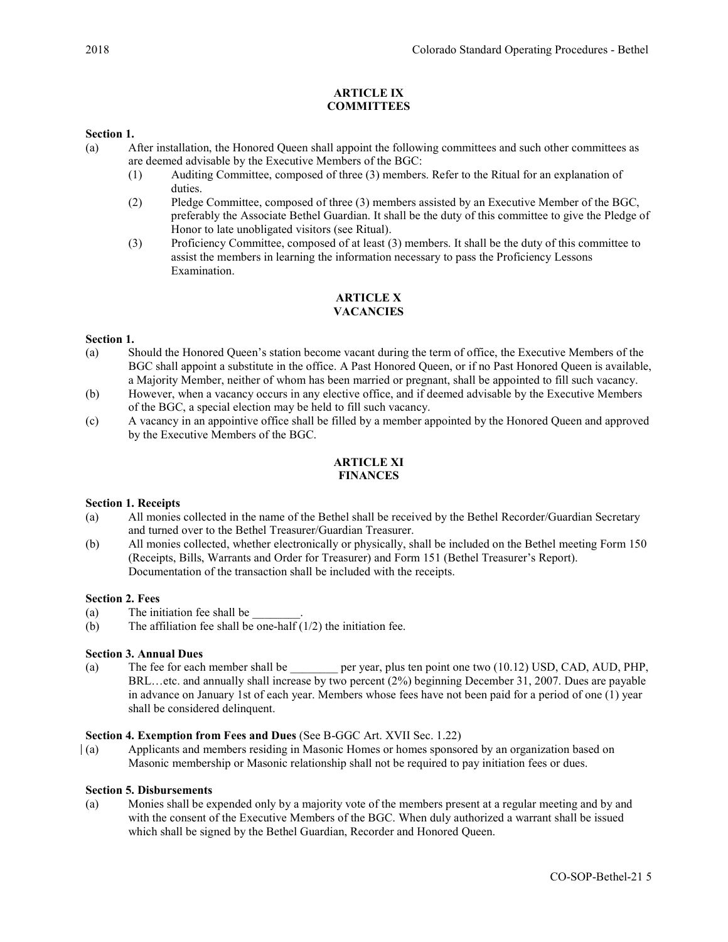# ARTICLE IX **COMMITTEES**

## Section 1.

- (a) After installation, the Honored Queen shall appoint the following committees and such other committees as are deemed advisable by the Executive Members of the BGC:
	- (1) Auditing Committee, composed of three (3) members. Refer to the Ritual for an explanation of duties.
	- (2) Pledge Committee, composed of three (3) members assisted by an Executive Member of the BGC, preferably the Associate Bethel Guardian. It shall be the duty of this committee to give the Pledge of Honor to late unobligated visitors (see Ritual).
	- (3) Proficiency Committee, composed of at least (3) members. It shall be the duty of this committee to assist the members in learning the information necessary to pass the Proficiency Lessons Examination.

#### ARTICLE X **VACANCIES**

## Section 1.

- (a) Should the Honored Queen's station become vacant during the term of office, the Executive Members of the BGC shall appoint a substitute in the office. A Past Honored Queen, or if no Past Honored Queen is available, a Majority Member, neither of whom has been married or pregnant, shall be appointed to fill such vacancy.
- (b) However, when a vacancy occurs in any elective office, and if deemed advisable by the Executive Members of the BGC, a special election may be held to fill such vacancy.
- (c) A vacancy in an appointive office shall be filled by a member appointed by the Honored Queen and approved by the Executive Members of the BGC.

## ARTICLE XI FINANCES

## Section 1. Receipts

- (a) All monies collected in the name of the Bethel shall be received by the Bethel Recorder/Guardian Secretary and turned over to the Bethel Treasurer/Guardian Treasurer.
- (b) All monies collected, whether electronically or physically, shall be included on the Bethel meeting Form 150 (Receipts, Bills, Warrants and Order for Treasurer) and Form 151 (Bethel Treasurer's Report). Documentation of the transaction shall be included with the receipts.

#### Section 2. Fees

- (a) The initiation fee shall be
- (b) The affiliation fee shall be one-half  $(1/2)$  the initiation fee.

## Section 3. Annual Dues

(a) The fee for each member shall be \_\_\_\_\_\_\_\_ per year, plus ten point one two (10.12) USD, CAD, AUD, PHP, BRL…etc. and annually shall increase by two percent (2%) beginning December 31, 2007. Dues are payable in advance on January 1st of each year. Members whose fees have not been paid for a period of one (1) year shall be considered delinquent.

#### Section 4. Exemption from Fees and Dues (See B-GGC Art. XVII Sec. 1.22)

(a) Applicants and members residing in Masonic Homes or homes sponsored by an organization based on Masonic membership or Masonic relationship shall not be required to pay initiation fees or dues.

#### Section 5. Disbursements

(a) Monies shall be expended only by a majority vote of the members present at a regular meeting and by and with the consent of the Executive Members of the BGC. When duly authorized a warrant shall be issued which shall be signed by the Bethel Guardian, Recorder and Honored Queen.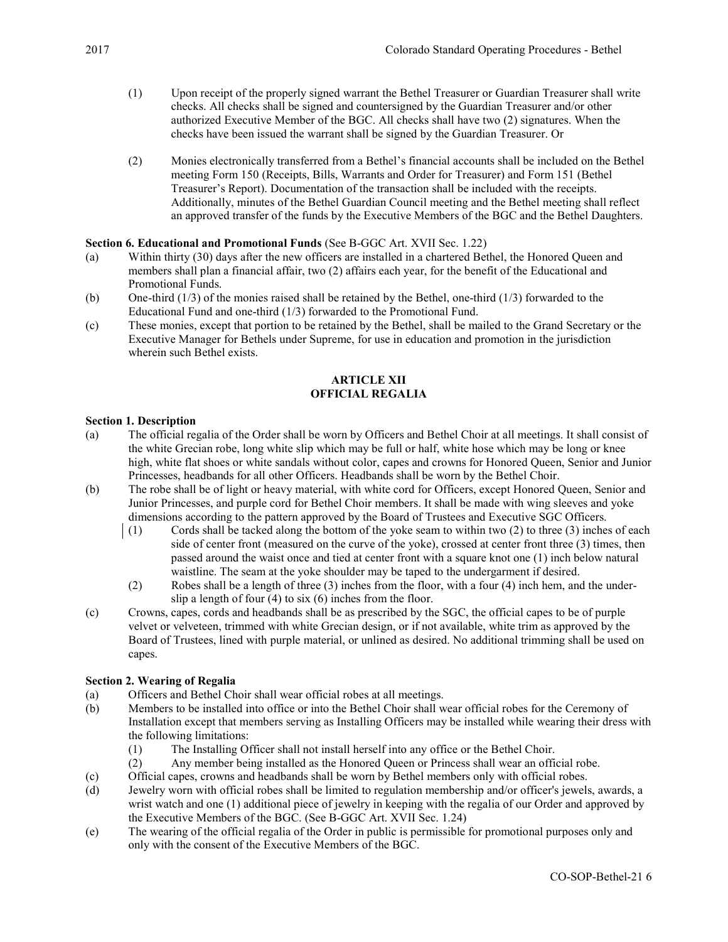- (1) Upon receipt of the properly signed warrant the Bethel Treasurer or Guardian Treasurer shall write checks. All checks shall be signed and countersigned by the Guardian Treasurer and/or other authorized Executive Member of the BGC. All checks shall have two (2) signatures. When the checks have been issued the warrant shall be signed by the Guardian Treasurer. Or
- (2) Monies electronically transferred from a Bethel's financial accounts shall be included on the Bethel meeting Form 150 (Receipts, Bills, Warrants and Order for Treasurer) and Form 151 (Bethel Treasurer's Report). Documentation of the transaction shall be included with the receipts. Additionally, minutes of the Bethel Guardian Council meeting and the Bethel meeting shall reflect an approved transfer of the funds by the Executive Members of the BGC and the Bethel Daughters.

## Section 6. Educational and Promotional Funds (See B-GGC Art. XVII Sec. 1.22)

- (a) Within thirty (30) days after the new officers are installed in a chartered Bethel, the Honored Queen and members shall plan a financial affair, two (2) affairs each year, for the benefit of the Educational and Promotional Funds.
- (b) One-third (1/3) of the monies raised shall be retained by the Bethel, one-third (1/3) forwarded to the Educational Fund and one-third (1/3) forwarded to the Promotional Fund.
- (c) These monies, except that portion to be retained by the Bethel, shall be mailed to the Grand Secretary or the Executive Manager for Bethels under Supreme, for use in education and promotion in the jurisdiction wherein such Bethel exists.

## ARTICLE XII OFFICIAL REGALIA

#### Section 1. Description

- (a) The official regalia of the Order shall be worn by Officers and Bethel Choir at all meetings. It shall consist of the white Grecian robe, long white slip which may be full or half, white hose which may be long or knee high, white flat shoes or white sandals without color, capes and crowns for Honored Queen, Senior and Junior Princesses, headbands for all other Officers. Headbands shall be worn by the Bethel Choir.
- (b) The robe shall be of light or heavy material, with white cord for Officers, except Honored Queen, Senior and Junior Princesses, and purple cord for Bethel Choir members. It shall be made with wing sleeves and yoke dimensions according to the pattern approved by the Board of Trustees and Executive SGC Officers.
	- (1) Cords shall be tacked along the bottom of the yoke seam to within two (2) to three (3) inches of each side of center front (measured on the curve of the yoke), crossed at center front three (3) times, then passed around the waist once and tied at center front with a square knot one (1) inch below natural waistline. The seam at the yoke shoulder may be taped to the undergarment if desired.
	- (2) Robes shall be a length of three (3) inches from the floor, with a four (4) inch hem, and the underslip a length of four  $(4)$  to six  $(6)$  inches from the floor.
- (c) Crowns, capes, cords and headbands shall be as prescribed by the SGC, the official capes to be of purple velvet or velveteen, trimmed with white Grecian design, or if not available, white trim as approved by the Board of Trustees, lined with purple material, or unlined as desired. No additional trimming shall be used on capes.

#### Section 2. Wearing of Regalia

- (a) Officers and Bethel Choir shall wear official robes at all meetings.
- (b) Members to be installed into office or into the Bethel Choir shall wear official robes for the Ceremony of Installation except that members serving as Installing Officers may be installed while wearing their dress with the following limitations:
	- (1) The Installing Officer shall not install herself into any office or the Bethel Choir.
	- (2) Any member being installed as the Honored Queen or Princess shall wear an official robe.
- (c) Official capes, crowns and headbands shall be worn by Bethel members only with official robes.
- (d) Jewelry worn with official robes shall be limited to regulation membership and/or officer's jewels, awards, a wrist watch and one (1) additional piece of jewelry in keeping with the regalia of our Order and approved by the Executive Members of the BGC. (See B-GGC Art. XVII Sec. 1.24)
- (e) The wearing of the official regalia of the Order in public is permissible for promotional purposes only and only with the consent of the Executive Members of the BGC.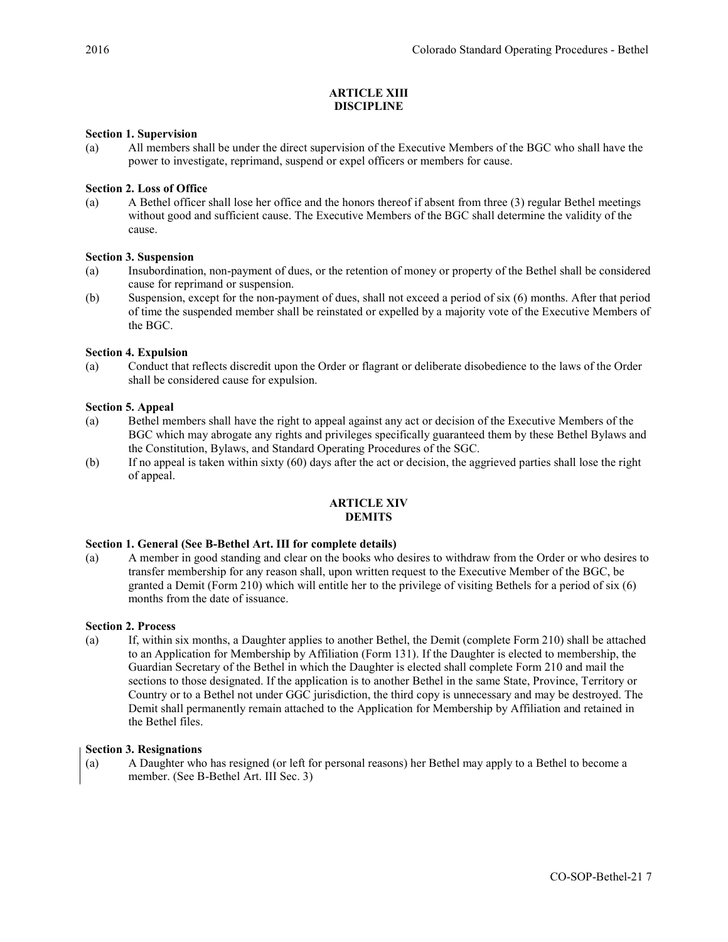## ARTICLE XIII DISCIPLINE

## Section 1. Supervision

(a) All members shall be under the direct supervision of the Executive Members of the BGC who shall have the power to investigate, reprimand, suspend or expel officers or members for cause.

## Section 2. Loss of Office

(a) A Bethel officer shall lose her office and the honors thereof if absent from three (3) regular Bethel meetings without good and sufficient cause. The Executive Members of the BGC shall determine the validity of the cause.

#### Section 3. Suspension

- (a) Insubordination, non-payment of dues, or the retention of money or property of the Bethel shall be considered cause for reprimand or suspension.
- (b) Suspension, except for the non-payment of dues, shall not exceed a period of six (6) months. After that period of time the suspended member shall be reinstated or expelled by a majority vote of the Executive Members of the BGC.

#### Section 4. Expulsion

(a) Conduct that reflects discredit upon the Order or flagrant or deliberate disobedience to the laws of the Order shall be considered cause for expulsion.

#### Section 5. Appeal

- (a) Bethel members shall have the right to appeal against any act or decision of the Executive Members of the BGC which may abrogate any rights and privileges specifically guaranteed them by these Bethel Bylaws and the Constitution, Bylaws, and Standard Operating Procedures of the SGC.
- (b) If no appeal is taken within sixty (60) days after the act or decision, the aggrieved parties shall lose the right of appeal.

# ARTICLE XIV **DEMITS**

#### Section 1. General (See B-Bethel Art. III for complete details)

(a) A member in good standing and clear on the books who desires to withdraw from the Order or who desires to transfer membership for any reason shall, upon written request to the Executive Member of the BGC, be granted a Demit (Form 210) which will entitle her to the privilege of visiting Bethels for a period of six (6) months from the date of issuance.

#### Section 2. Process

(a) If, within six months, a Daughter applies to another Bethel, the Demit (complete Form 210) shall be attached to an Application for Membership by Affiliation (Form 131). If the Daughter is elected to membership, the Guardian Secretary of the Bethel in which the Daughter is elected shall complete Form 210 and mail the sections to those designated. If the application is to another Bethel in the same State, Province, Territory or Country or to a Bethel not under GGC jurisdiction, the third copy is unnecessary and may be destroyed. The Demit shall permanently remain attached to the Application for Membership by Affiliation and retained in the Bethel files.

#### Section 3. Resignations

(a) A Daughter who has resigned (or left for personal reasons) her Bethel may apply to a Bethel to become a member. (See B-Bethel Art. III Sec. 3)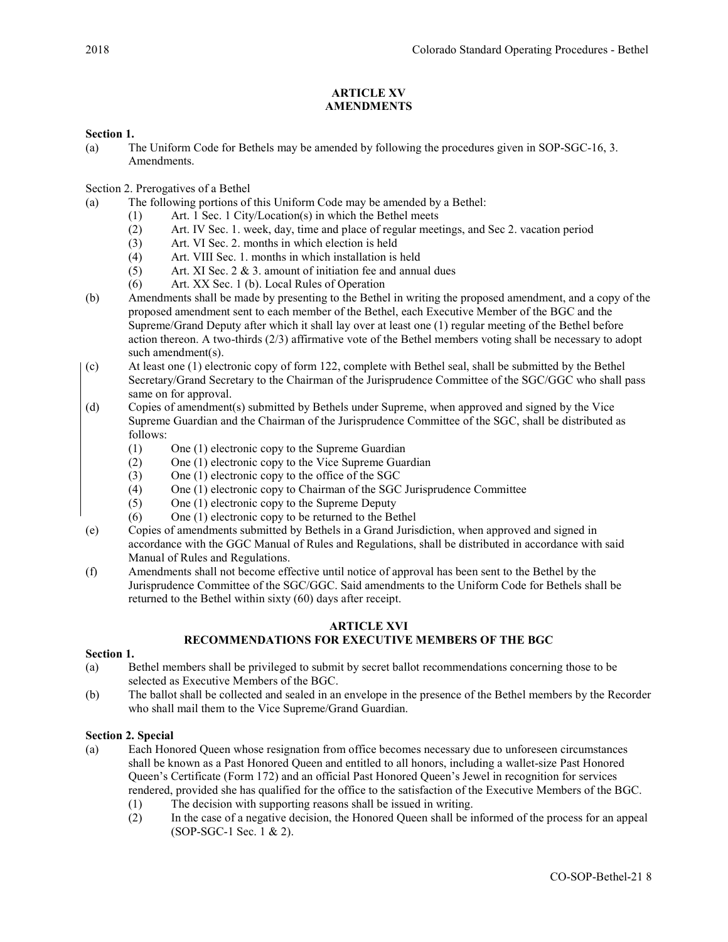# ARTICLE XV AMENDMENTS

# Section 1.

(a) The Uniform Code for Bethels may be amended by following the procedures given in SOP-SGC-16, 3. Amendments.

Section 2. Prerogatives of a Bethel

- (a) The following portions of this Uniform Code may be amended by a Bethel:
	- (1) Art. 1 Sec. 1 City/Location(s) in which the Bethel meets
	- (2) Art. IV Sec. 1. week, day, time and place of regular meetings, and Sec 2. vacation period
	- (3) Art. VI Sec. 2. months in which election is held
	- (4) Art. VIII Sec. 1. months in which installation is held
	- $(5)$  Art. XI Sec. 2 & 3. amount of initiation fee and annual dues
	- (6) Art. XX Sec. 1 (b). Local Rules of Operation
- (b) Amendments shall be made by presenting to the Bethel in writing the proposed amendment, and a copy of the proposed amendment sent to each member of the Bethel, each Executive Member of the BGC and the Supreme/Grand Deputy after which it shall lay over at least one (1) regular meeting of the Bethel before action thereon. A two-thirds (2/3) affirmative vote of the Bethel members voting shall be necessary to adopt such amendment(s).
- (c) At least one (1) electronic copy of form 122, complete with Bethel seal, shall be submitted by the Bethel Secretary/Grand Secretary to the Chairman of the Jurisprudence Committee of the SGC/GGC who shall pass same on for approval.
- (d) Copies of amendment(s) submitted by Bethels under Supreme, when approved and signed by the Vice Supreme Guardian and the Chairman of the Jurisprudence Committee of the SGC, shall be distributed as follows:
	- (1) One (1) electronic copy to the Supreme Guardian
	- (2) One (1) electronic copy to the Vice Supreme Guardian
	- (3) One (1) electronic copy to the office of the SGC
	- (4) One (1) electronic copy to Chairman of the SGC Jurisprudence Committee
	- (5) One (1) electronic copy to the Supreme Deputy
	- (6) One (1) electronic copy to be returned to the Bethel
- (e) Copies of amendments submitted by Bethels in a Grand Jurisdiction, when approved and signed in accordance with the GGC Manual of Rules and Regulations, shall be distributed in accordance with said Manual of Rules and Regulations.
- (f) Amendments shall not become effective until notice of approval has been sent to the Bethel by the Jurisprudence Committee of the SGC/GGC. Said amendments to the Uniform Code for Bethels shall be returned to the Bethel within sixty (60) days after receipt.

## ARTICLE XVI

# RECOMMENDATIONS FOR EXECUTIVE MEMBERS OF THE BGC

## Section 1.

- (a) Bethel members shall be privileged to submit by secret ballot recommendations concerning those to be selected as Executive Members of the BGC.
- (b) The ballot shall be collected and sealed in an envelope in the presence of the Bethel members by the Recorder who shall mail them to the Vice Supreme/Grand Guardian.

## Section 2. Special

- (a) Each Honored Queen whose resignation from office becomes necessary due to unforeseen circumstances shall be known as a Past Honored Queen and entitled to all honors, including a wallet-size Past Honored Queen's Certificate (Form 172) and an official Past Honored Queen's Jewel in recognition for services rendered, provided she has qualified for the office to the satisfaction of the Executive Members of the BGC.
	- (1) The decision with supporting reasons shall be issued in writing.
	- (2) In the case of a negative decision, the Honored Queen shall be informed of the process for an appeal (SOP-SGC-1 Sec. 1 & 2).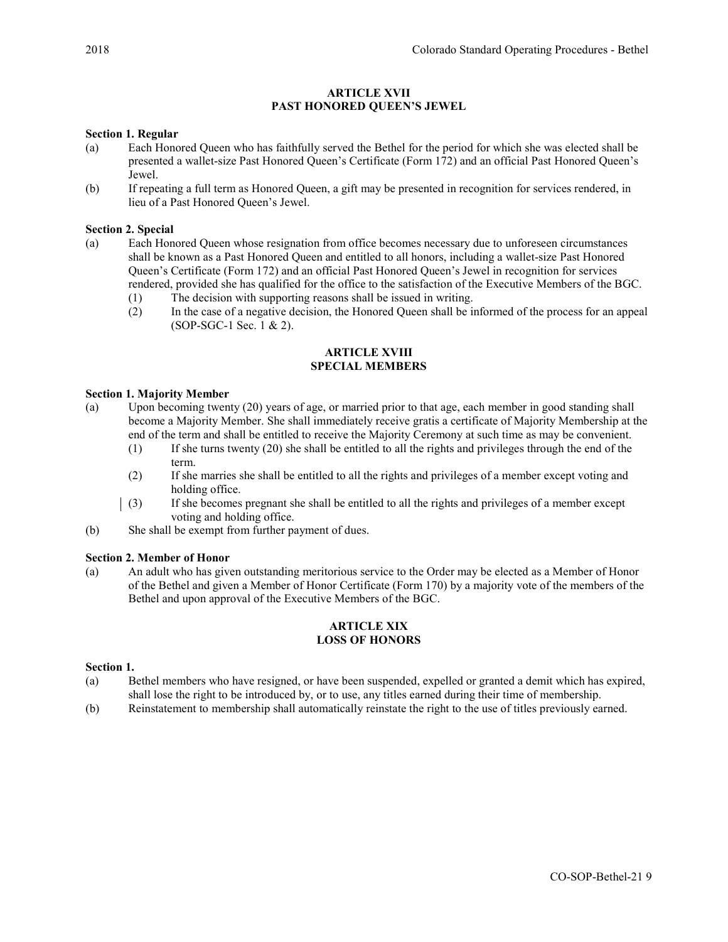# ARTICLE XVII PAST HONORED QUEEN'S JEWEL

## Section 1. Regular

- (a) Each Honored Queen who has faithfully served the Bethel for the period for which she was elected shall be presented a wallet-size Past Honored Queen's Certificate (Form 172) and an official Past Honored Queen's Jewel.
- (b) If repeating a full term as Honored Queen, a gift may be presented in recognition for services rendered, in lieu of a Past Honored Queen's Jewel.

## Section 2. Special

- (a) Each Honored Queen whose resignation from office becomes necessary due to unforeseen circumstances shall be known as a Past Honored Queen and entitled to all honors, including a wallet-size Past Honored Queen's Certificate (Form 172) and an official Past Honored Queen's Jewel in recognition for services rendered, provided she has qualified for the office to the satisfaction of the Executive Members of the BGC.
	- (1) The decision with supporting reasons shall be issued in writing.
	- (2) In the case of a negative decision, the Honored Queen shall be informed of the process for an appeal (SOP-SGC-1 Sec. 1 & 2).

## ARTICLE XVIII SPECIAL MEMBERS

## Section 1. Majority Member

- (a) Upon becoming twenty (20) years of age, or married prior to that age, each member in good standing shall become a Majority Member. She shall immediately receive gratis a certificate of Majority Membership at the end of the term and shall be entitled to receive the Majority Ceremony at such time as may be convenient.
	- (1) If she turns twenty (20) she shall be entitled to all the rights and privileges through the end of the term.
	- (2) If she marries she shall be entitled to all the rights and privileges of a member except voting and holding office.
	- (3) If she becomes pregnant she shall be entitled to all the rights and privileges of a member except voting and holding office.
- (b) She shall be exempt from further payment of dues.

#### Section 2. Member of Honor

(a) An adult who has given outstanding meritorious service to the Order may be elected as a Member of Honor of the Bethel and given a Member of Honor Certificate (Form 170) by a majority vote of the members of the Bethel and upon approval of the Executive Members of the BGC.

## ARTICLE XIX LOSS OF HONORS

## Section 1.

- (a) Bethel members who have resigned, or have been suspended, expelled or granted a demit which has expired, shall lose the right to be introduced by, or to use, any titles earned during their time of membership.
- (b) Reinstatement to membership shall automatically reinstate the right to the use of titles previously earned.